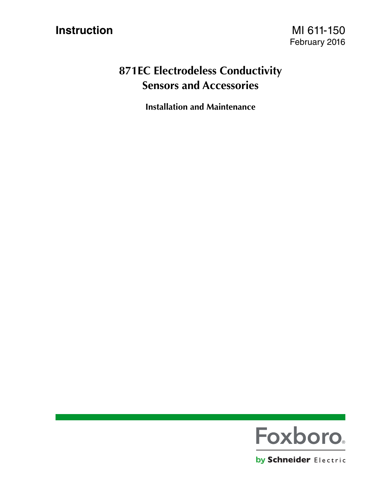## **Instruction** MI 611-150

# **871EC Electrodeless Conductivity Sensors and Accessories**

**Installation and Maintenance**



by Schneider Electric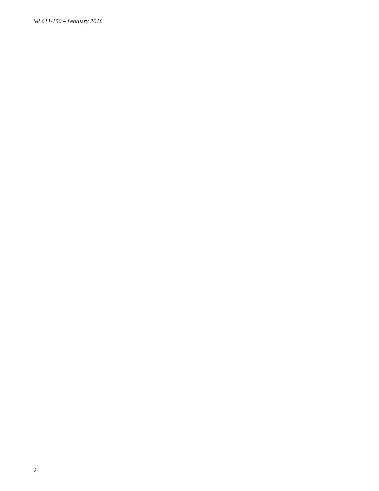*MI 611-150 – February 2016*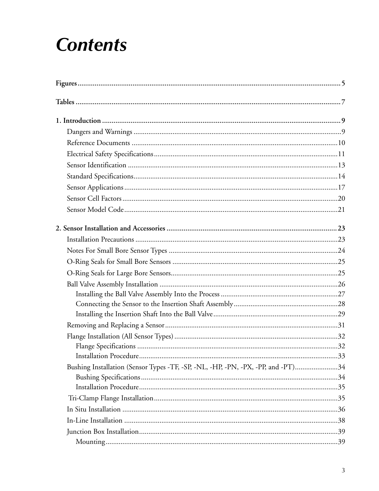# **Contents**

| Bushing Installation (Sensor Types -TF, -SP, -NL, -HP, -PN, -PX, -PP, and -PT)34 |  |
|----------------------------------------------------------------------------------|--|
|                                                                                  |  |
|                                                                                  |  |
|                                                                                  |  |
|                                                                                  |  |
|                                                                                  |  |
|                                                                                  |  |
|                                                                                  |  |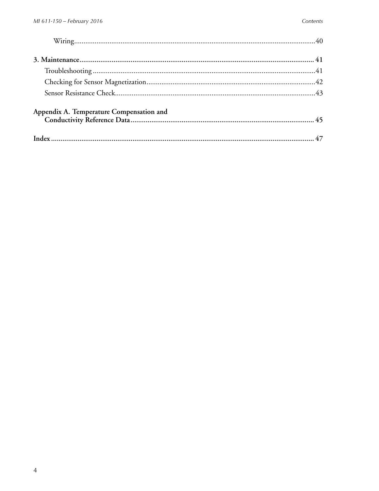| Appendix A. Temperature Compensation and |  |
|------------------------------------------|--|
|                                          |  |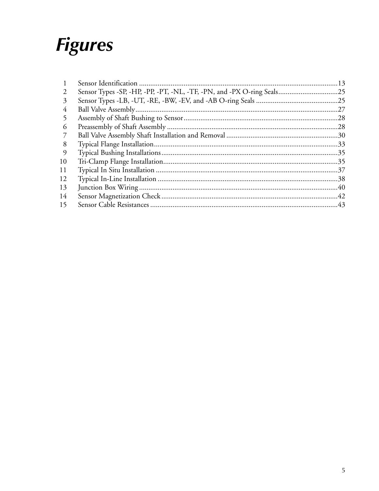# <span id="page-4-0"></span>**Figures**

| 1  |     |
|----|-----|
| 2  |     |
| 3  |     |
| 4  |     |
| 5  |     |
| 6  | .28 |
| 7  |     |
| 8  |     |
| 9  |     |
| 10 |     |
| 11 |     |
| 12 |     |
| 13 |     |
| 14 |     |
| 15 |     |
|    |     |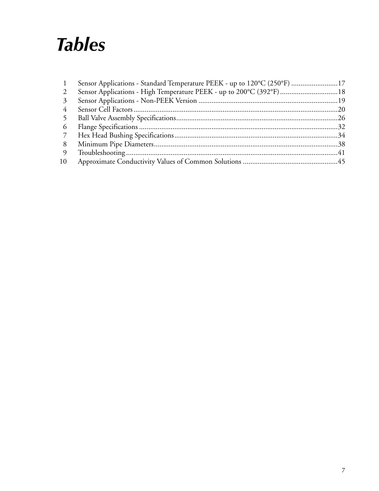# <span id="page-6-0"></span>*Tables*

| Sensor Applications - Standard Temperature PEEK - up to 120°C (250°F) 17<br>Sensor Applications - High Temperature PEEK - up to 200°C (392°F) 18 |
|--------------------------------------------------------------------------------------------------------------------------------------------------|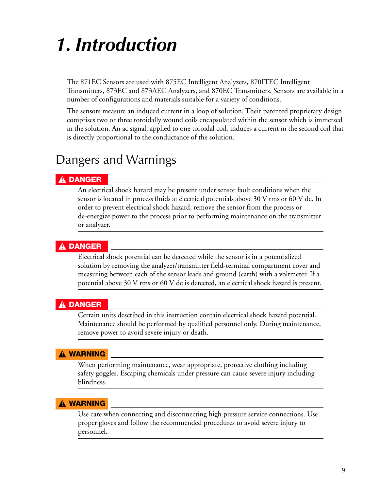# <span id="page-8-0"></span>*1. Introduction*

The 871EC Sensors are used with 875EC Intelligent Analyzers, 870ITEC Intelligent Transmitters, 873EC and 873AEC Analyzers, and 870EC Transmitters. Sensors are available in a number of configurations and materials suitable for a variety of conditions.

The sensors measure an induced current in a loop of solution. Their patented proprietary design comprises two or three toroidally wound coils encapsulated within the sensor which is immersed in the solution. An ac signal, applied to one toroidal coil, induces a current in the second coil that is directly proportional to the conductance of the solution.

## <span id="page-8-1"></span>Dangers and Warnings

### **!** DANGER

An electrical shock hazard may be present under sensor fault conditions when the sensor is located in process fluids at electrical potentials above 30 V rms or 60 V dc. In order to prevent electrical shock hazard, remove the sensor from the process or de-energize power to the process prior to performing maintenance on the transmitter or analyzer.

#### **!** DANGER

Electrical shock potential can be detected while the sensor is in a potentialized solution by removing the analyzer/transmitter field-terminal compartment cover and measuring between each of the sensor leads and ground (earth) with a voltmeter. If a potential above 30 V rms or 60 V dc is detected, an electrical shock hazard is present.

#### **!** DANGER

Certain units described in this instruction contain electrical shock hazard potential. Maintenance should be performed by qualified personnel only. During maintenance, remove power to avoid severe injury or death.

#### **!** WARNING

When performing maintenance, wear appropriate, protective clothing including safety goggles. Escaping chemicals under pressure can cause severe injury including blindness.

#### **!** WARNING

Use care when connecting and disconnecting high pressure service connections. Use proper gloves and follow the recommended procedures to avoid severe injury to personnel.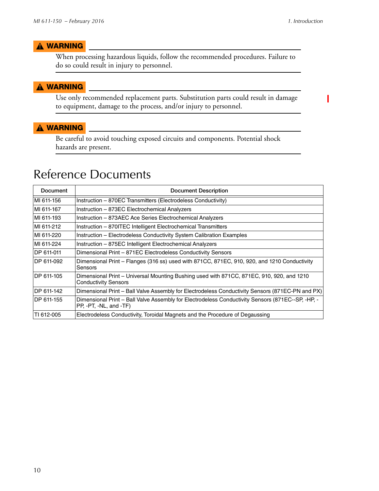ı

#### **!** WARNING

When processing hazardous liquids, follow the recommended procedures. Failure to do so could result in injury to personnel.

### **!** WARNING

Use only recommended replacement parts. Substitution parts could result in damage to equipment, damage to the process, and/or injury to personnel.

### **!** WARNING

Be careful to avoid touching exposed circuits and components. Potential shock hazards are present.

## <span id="page-9-1"></span><span id="page-9-0"></span>Reference Documents

| Document    | <b>Document Description</b>                                                                                                   |
|-------------|-------------------------------------------------------------------------------------------------------------------------------|
| IMI 611-156 | Instruction - 870EC Transmitters (Electrodeless Conductivity)                                                                 |
| MI 611-167  | Instruction - 873EC Electrochemical Analyzers                                                                                 |
| MI 611-193  | Instruction – 873AEC Ace Series Electrochemical Analyzers                                                                     |
| MI 611-212  | Instruction – 870ITEC Intelligent Electrochemical Transmitters                                                                |
| MI 611-220  | Instruction - Electrodeless Conductivity System Calibration Examples                                                          |
| MI 611-224  | Instruction - 875EC Intelligent Electrochemical Analyzers                                                                     |
| DP 611-011  | Dimensional Print - 871EC Electrodeless Conductivity Sensors                                                                  |
| DP 611-092  | Dimensional Print - Flanges (316 ss) used with 871CC, 871EC, 910, 920, and 1210 Conductivity<br><b>Sensors</b>                |
| DP 611-105  | Dimensional Print – Universal Mounting Bushing used with 871CC, 871EC, 910, 920, and 1210<br><b>Conductivity Sensors</b>      |
| DP 611-142  | Dimensional Print - Ball Valve Assembly for Electrodeless Conductivity Sensors (871EC-PN and PX)                              |
| DP 611-155  | Dimensional Print - Ball Valve Assembly for Electrodeless Conductivity Sensors (871EC--SP, -HP, -<br>$PP, -PT, -NL, and -TF)$ |
| TI 612-005  | Electrodeless Conductivity, Toroidal Magnets and the Procedure of Degaussing                                                  |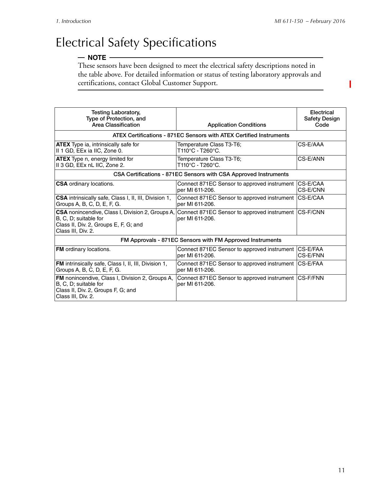ı

# <span id="page-10-1"></span><span id="page-10-0"></span>Electrical Safety Specifications

#### $-$  NOTE  $-$

These sensors have been designed to meet the electrical safety descriptions noted in the table above. For detailed information or status of testing laboratory approvals and certifications, contact Global Customer Support.

| <b>Testing Laboratory,</b><br>Type of Protection, and<br>Area Classification                                                                | <b>Application Conditions</b>                                       | Electrical<br><b>Safety Design</b><br>Code |
|---------------------------------------------------------------------------------------------------------------------------------------------|---------------------------------------------------------------------|--------------------------------------------|
|                                                                                                                                             | ATEX Certifications - 871EC Sensors with ATEX Certified Instruments |                                            |
| <b>ATEX</b> Type ia, intrinsically safe for<br>II 1 GD, EEx ia IIC, Zone 0.                                                                 | Temperature Class T3-T6;<br>T110°C - T260°C.                        | CS-E/AAA                                   |
| ATEX Type n, energy limited for<br>II 3 GD, EEx nL IIC, Zone 2.                                                                             | Temperature Class T3-T6;<br>T110°C - T260°C.                        | CS-E/ANN                                   |
|                                                                                                                                             | CSA Certifications - 871EC Sensors with CSA Approved Instruments    |                                            |
| <b>CSA</b> ordinary locations.                                                                                                              | Connect 871EC Sensor to approved instrument<br>per MI 611-206.      | CS-E/CAA<br>CS-E/CNN                       |
| <b>CSA</b> intrinsically safe, Class I, II, III, Division 1,<br>Groups A, B, C, D, E, F, G.                                                 | Connect 871EC Sensor to approved instrument<br>per MI 611-206.      | CS-E/CAA                                   |
| CSA nonincendive, Class I, Division 2, Groups A,<br>B, C, D; suitable for<br>Class II, Div. 2, Groups E, F, G; and<br>Class III, Div. 2.    | Connect 871EC Sensor to approved instrument<br>per MI 611-206.      | CS-F/CNN                                   |
|                                                                                                                                             | FM Approvals - 871EC Sensors with FM Approved Instruments           |                                            |
| FM ordinary locations.                                                                                                                      | Connect 871EC Sensor to approved instrument<br>per MI 611-206.      | CS-E/FAA<br>CS-E/FNN                       |
| <b>FM</b> intrinsically safe, Class I, II, III, Division 1,<br>Groups A, B, C, D, E, F, G.                                                  | Connect 871EC Sensor to approved instrument<br>per MI 611-206.      | CS-E/FAA                                   |
| <b>FM</b> nonincendive, Class I, Division 2, Groups A,<br>B, C, D; suitable for<br>Class II, Div. 2, Groups F, G; and<br>Class III, Div. 2. | Connect 871EC Sensor to approved instrument<br>per MI 611-206.      | CS-F/FNN                                   |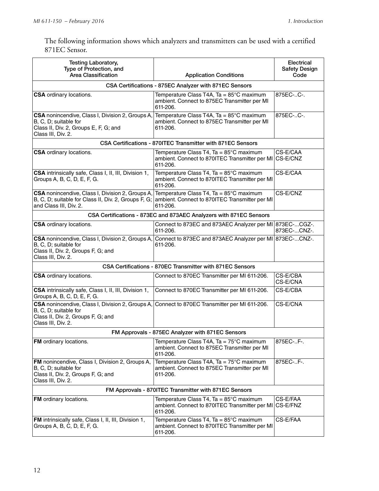### The following information shows which analyzers and transmitters can be used with a certified 871EC Sensor.

| <b>Testing Laboratory,</b><br>Type of Protection, and<br><b>Area Classification</b><br><b>Application Conditions</b>                                                               |                                                                                                                 | Electrical<br><b>Safety Design</b><br>Code |  |
|------------------------------------------------------------------------------------------------------------------------------------------------------------------------------------|-----------------------------------------------------------------------------------------------------------------|--------------------------------------------|--|
|                                                                                                                                                                                    | CSA Certifications - 875EC Analyzer with 871EC Sensors                                                          |                                            |  |
| <b>CSA</b> ordinary locations.                                                                                                                                                     | Temperature Class T4A, Ta = $85^{\circ}$ C maximum<br>ambient. Connect to 875EC Transmitter per MI<br>611-206.  | 875EC-C-.                                  |  |
| CSA nonincendive, Class I, Division 2, Groups A,<br>B, C, D; suitable for<br>Class II, Div. 2, Groups E, F, G; and<br>Class III, Div. 2.                                           | Temperature Class T4A, Ta = $85^{\circ}$ C maximum<br>ambient. Connect to 875EC Transmitter per MI<br>611-206.  | 875EC-C-.                                  |  |
|                                                                                                                                                                                    | CSA Certifications - 870ITEC Transmitter with 871EC Sensors                                                     |                                            |  |
| <b>CSA</b> ordinary locations.                                                                                                                                                     | Temperature Class T4, Ta = $85^{\circ}$ C maximum<br>ambient. Connect to 870ITEC Transmitter per MI<br>611-206. | CS-E/CAA<br>CS-E/CNZ                       |  |
| CSA intrinsically safe, Class I, II, III, Division 1,<br>Groups A, B, C, D, E, F, G.                                                                                               | Temperature Class T4, Ta = 85°C maximum<br>ambient. Connect to 870ITEC Transmitter per MI<br>611-206.           | CS-E/CAA                                   |  |
| CSA nonincendive, Class I, Division 2, Groups A,<br>B, C, D; suitable for Class II, Div. 2, Groups F, G;<br>and Class III, Div. 2.                                                 | Temperature Class T4, Ta = 85°C maximum<br>ambient. Connect to 870ITEC Transmitter per MI<br>611-206.           | CS-E/CNZ                                   |  |
|                                                                                                                                                                                    | CSA Certifications - 873EC and 873AEC Analyzers with 871EC Sensors                                              |                                            |  |
| <b>CSA</b> ordinary locations.                                                                                                                                                     | Connect to 873EC and 873AEC Analyzer per MI 873EC-CGZ-.<br>611-206.                                             | 873EC-CNZ-.                                |  |
| CSA nonincendive, Class I, Division 2, Groups A,<br>B, C, D; suitable for<br>Class II, Div. 2, Groups F, G; and<br>Class III, Div. 2.                                              | Connect to 873EC and 873AEC Analyzer per MI 873EC-CNZ-.<br>611-206.                                             |                                            |  |
|                                                                                                                                                                                    | CSA Certifications - 870EC Transmitter with 871EC Sensors                                                       |                                            |  |
| <b>CSA</b> ordinary locations.                                                                                                                                                     | Connect to 870EC Transmitter per MI 611-206.                                                                    | CS-E/CBA<br>CS-E/CNA                       |  |
| CSA intrinsically safe, Class I, II, III, Division 1,<br>Groups A, B, C, D, E, F, G.                                                                                               | Connect to 870EC Transmitter per MI 611-206.                                                                    | CS-E/CBA                                   |  |
| CSA nonincendive, Class I, Division 2, Groups A, Connect to 870EC Transmitter per MI 611-206.<br>B, C, D; suitable for<br>Class II, Div. 2, Groups F, G; and<br>Class III, Div. 2. |                                                                                                                 | CS-E/CNA                                   |  |
|                                                                                                                                                                                    | FM Approvals - 875EC Analyzer with 871EC Sensors                                                                |                                            |  |
| FM ordinary locations.                                                                                                                                                             | Temperature Class T4A, Ta = $75^{\circ}$ C maximum<br>ambient. Connect to 875EC Transmitter per MI<br>611-206.  | 875EC-F-.                                  |  |
| FM nonincendive, Class I, Division 2, Groups A,<br>B, C, D; suitable for<br>Class II, Div. 2, Groups F, G; and<br>Class III, Div. 2.                                               | Temperature Class T4A, Ta = 75°C maximum<br>ambient. Connect to 875EC Transmitter per MI<br>611-206.            | 875EC-F-.                                  |  |
|                                                                                                                                                                                    | FM Approvals - 870ITEC Transmitter with 871EC Sensors                                                           |                                            |  |
| FM ordinary locations.                                                                                                                                                             | Temperature Class T4, Ta = 85°C maximum<br>ambient. Connect to 870ITEC Transmitter per MI<br>611-206.           | CS-E/FAA<br>CS-E/FNZ                       |  |
| FM intrinsically safe, Class I, II, III, Division 1,<br>Groups A, B, C, D, E, F, G.                                                                                                | Temperature Class T4, Ta = $85^{\circ}$ C maximum<br>ambient. Connect to 870ITEC Transmitter per MI<br>611-206. | CS-E/FAA                                   |  |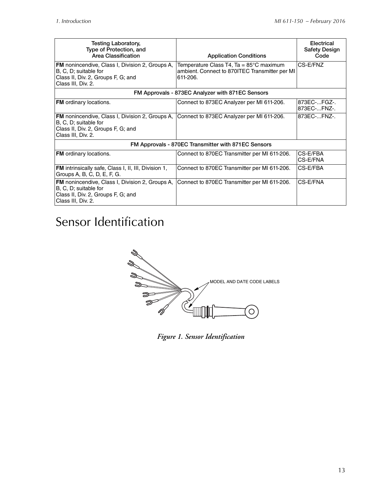| <b>Testing Laboratory,</b><br>Type of Protection, and<br><b>Area Classification</b>                                                         | <b>Application Conditions</b>                                                                         | Electrical<br><b>Safety Design</b><br>Code |
|---------------------------------------------------------------------------------------------------------------------------------------------|-------------------------------------------------------------------------------------------------------|--------------------------------------------|
| <b>FM</b> nonincendive, Class I, Division 2, Groups A,<br>B, C, D; suitable for<br>Class II, Div. 2, Groups F, G; and<br>Class III, Div. 2. | Temperature Class T4, Ta = 85°C maximum<br>ambient. Connect to 870ITEC Transmitter per MI<br>611-206. | CS-E/FNZ                                   |
|                                                                                                                                             | FM Approvals - 873EC Analyzer with 871EC Sensors                                                      |                                            |
| <b>FM</b> ordinary locations.                                                                                                               | Connect to 873EC Analyzer per MI 611-206.                                                             | 873EC-FGZ-.<br>873EC-FNZ-.                 |
| <b>FM</b> nonincendive, Class I, Division 2, Groups A,<br>B, C, D; suitable for<br>Class II, Div. 2, Groups F, G; and<br>Class III, Div. 2. | Connect to 873EC Analyzer per MI 611-206.                                                             | 873EC-FNZ-.                                |
|                                                                                                                                             | FM Approvals - 870EC Transmitter with 871EC Sensors                                                   |                                            |
| FM ordinary locations.                                                                                                                      | Connect to 870EC Transmitter per MI 611-206.                                                          | CS-E/FBA<br>CS-E/FNA                       |
| <b>FM</b> intrinsically safe, Class I, II, III, Division 1,<br>Groups A, B, C, D, E, F, G.                                                  | Connect to 870EC Transmitter per MI 611-206.                                                          | CS-E/FBA                                   |
| <b>FM</b> nonincendive, Class I, Division 2, Groups A,<br>B, C, D; suitable for<br>Class II, Div. 2, Groups F, G; and<br>Class III, Div. 2. | Connect to 870EC Transmitter per MI 611-206.                                                          | CS-E/FNA                                   |

# <span id="page-12-2"></span><span id="page-12-0"></span>Sensor Identification



<span id="page-12-1"></span>*Figure 1. Sensor Identification*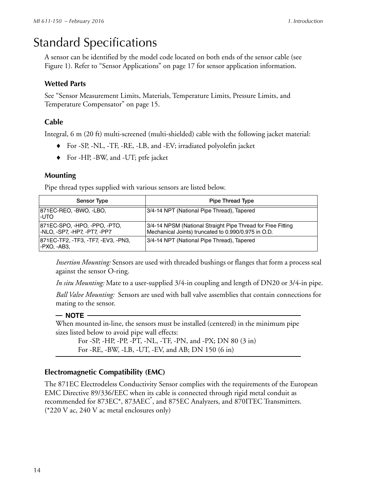# <span id="page-13-0"></span>Standard Specifications

<span id="page-13-1"></span>A sensor can be identified by the model code located on both ends of the sensor cable (see [Figure 1](#page-12-1)). Refer to ["Sensor Applications" on page 17](#page-16-0) for sensor application information.

### **Wetted Parts**

See ["Sensor Measurement Limits, Materials, Temperature Limits, Pressure Limits, and](#page-14-0)  [Temperature Compensator"](#page-14-0) on page 15.

### **Cable**

Integral, 6 m (20 ft) multi-screened (multi-shielded) cable with the following jacket material:

- For -SP, -NL, -TF, -RE, -LB, and -EV; irradiated polyolefin jacket
- ◆ For -HP, -BW, and -UT; ptfe jacket

### **Mounting**

Pipe thread types supplied with various sensors are listed below.

| Sensor Type                                                   | Pipe Thread Type                                                                                                   |
|---------------------------------------------------------------|--------------------------------------------------------------------------------------------------------------------|
| 871EC-REO, -BWO, -LBO,<br>I-UTO                               | 3/4-14 NPT (National Pipe Thread), Tapered                                                                         |
| 871EC-SPO, -HPO, -PPO, -PTO,<br> -NLO, -SP7, -HP7, -PT7, -PP7 | 3/4-14 NPSM (National Straight Pipe Thread for Free Fitting<br>Mechanical Joints) truncated to 0.990/0.975 in O.D. |
| 871EC-TF2, -TF3, -TF7, -EV3, -PN3,<br>-PXO, -AB3,             | 3/4-14 NPT (National Pipe Thread), Tapered                                                                         |

*Insertion Mounting:* Sensors are used with threaded bushings or flanges that form a process seal against the sensor O-ring.

*In situ Mounting:* Mate to a user-supplied 3/4-in coupling and length of DN20 or 3/4-in pipe.

*Ball Valve Mounting:* Sensors are used with ball valve assemblies that contain connections for mating to the sensor.

#### — NOTE -

When mounted in-line, the sensors must be installed (centered) in the minimum pipe sizes listed below to avoid pipe wall effects:

For -SP, -HP, -PP, -PT, -NL, -TF, -PN, and -PX; DN 80 (3 in) For -RE, -BW, -LB, -UT, -EV, and AB; DN 150 (6 in)

### **Electromagnetic Compatibility (EMC)**

The 871EC Electrodeless Conductivity Sensor complies with the requirements of the European EMC Directive 89/336/EEC when its cable is connected through rigid metal conduit as recommended for 873EC\*, 873AEC\* , and 875EC Analyzers, and 870ITEC Transmitters. (\*220 V ac, 240 V ac metal enclosures only)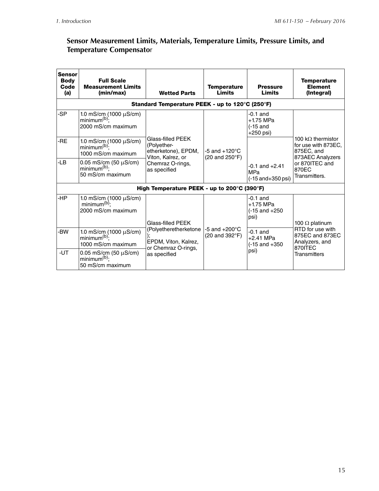### <span id="page-14-0"></span>**Sensor Measurement Limits, Materials, Temperature Limits, Pressure Limits, and Temperature Compensato**r

| <b>Sensor</b><br><b>Body</b><br>Code<br>(a) | <b>Full Scale</b><br><b>Measurement Limits</b><br>(min/max)            | <b>Wetted Parts</b>                                                          | <b>Temperature</b><br><b>Limits</b>                                   | <b>Pressure</b><br>Limits                                  | <b>Temperature</b><br><b>Element</b><br>(Integral)                                 |
|---------------------------------------------|------------------------------------------------------------------------|------------------------------------------------------------------------------|-----------------------------------------------------------------------|------------------------------------------------------------|------------------------------------------------------------------------------------|
|                                             |                                                                        | Standard Temperature PEEK - up to 120°C (250°F)                              |                                                                       |                                                            |                                                                                    |
| -SP                                         | 1.0 mS/cm $(1000 \mu S/cm)$<br>$minimum^{(b)}$ ;<br>2000 mS/cm maximum |                                                                              |                                                                       | -0.1 and<br>$+1.75$ MPa<br>$(-15$ and<br>$+250$ psi)       |                                                                                    |
| -RE                                         | 1.0 mS/cm $(1000 \mu S/cm)$<br>$minimum^{(b)}$<br>1000 mS/cm maximum   | Glass-filled PFFK<br>(Polyether-<br>etherketone), EPDM,<br>Viton, Kalrez, or | $-5$ and $+120^{\circ}$ C<br>$(20 \text{ and } 250^{\circ} \text{F})$ |                                                            | 100 k $\Omega$ thermistor<br>for use with 873EC.<br>875EC, and<br>873AEC Analyzers |
| -LB                                         | $0.05$ mS/cm (50 $\mu$ S/cm)<br>$minimum(b)$ ;<br>50 mS/cm maximum     | Chemraz O-rings,<br>as specified                                             |                                                                       | $-0.1$ and $+2.41$<br><b>MPa</b><br>$(-15$ and $+350$ psi) | or 870 TEC and<br>870EC<br>Transmitters.                                           |
|                                             |                                                                        | High Temperature PEEK - up to 200°C (390°F)                                  |                                                                       |                                                            |                                                                                    |
| -HP                                         | 1.0 mS/cm $(1000 \mu S/cm)$<br>$minimum^{(b)}$ ;<br>2000 mS/cm maximum | Glass-filled PEEK                                                            |                                                                       | $-0.1$ and<br>+1.75 MPa<br>$(-15$ and $+250$<br>psi)       | 100 $\Omega$ platinum                                                              |
| -BW                                         | 1.0 mS/cm $(1000 \mu S/cm)$<br>$minimum^{(b)}$ ;<br>1000 mS/cm maximum | (Polyetheretherketone<br>EPDM, Viton, Kalrez,<br>or Chemraz O-rings,         | -5 and $+200^{\circ}$ C<br>(20 and 392°F)                             | $-0.1$ and<br>$+2.41$ MPa<br>$(-15$ and $+350$             | RTD for use with<br>875EC and 873EC<br>Analyzers, and<br>870 TEC                   |
| -UT                                         | $0.05$ mS/cm (50 $\mu$ S/cm)<br>$minimum^{(b)}$ ;<br>50 mS/cm maximum  | as specified                                                                 |                                                                       | psi)                                                       | <b>Transmitters</b>                                                                |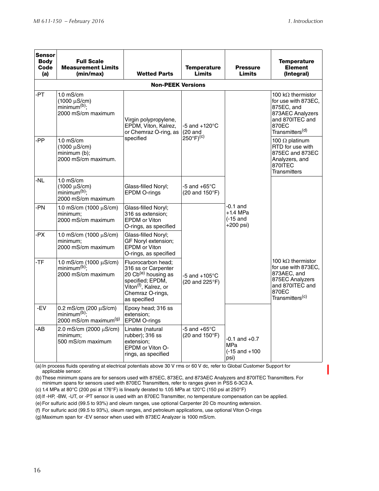| <b>Sensor</b><br><b>Body</b><br>Code<br>(a) | <b>Full Scale</b><br><b>Measurement Limits</b><br>(min/max)                            | <b>Wetted Parts</b>                                                                                                                                                       | <b>Temperature</b><br>Limits              | <b>Pressure</b><br>Limits                             | <b>Temperature</b><br><b>Element</b><br>(Integral)                                                                                            |
|---------------------------------------------|----------------------------------------------------------------------------------------|---------------------------------------------------------------------------------------------------------------------------------------------------------------------------|-------------------------------------------|-------------------------------------------------------|-----------------------------------------------------------------------------------------------------------------------------------------------|
|                                             |                                                                                        | <b>Non-PEEK Versions</b>                                                                                                                                                  |                                           |                                                       |                                                                                                                                               |
| -PT                                         | $1.0$ mS/cm<br>$(1000 \mu S/cm)$<br>$minimum^{(b)}$ :<br>2000 mS/cm maximum            | Virgin polypropylene,<br>EPDM, Viton, Kalrez,<br>or Chemraz O-ring, as                                                                                                    | -5 and $+120^{\circ}$ C<br>$(20$ and      |                                                       | 100 k $\Omega$ thermistor<br>for use with 873EC,<br>875EC, and<br>873AEC Analyzers<br>and 870ITEC and<br>870EC<br>Transmitters <sup>(d)</sup> |
| -PP                                         | $1.0$ mS/cm<br>(1000 µS/cm)<br>minimum (b);<br>2000 mS/cm maximum.                     | specified                                                                                                                                                                 | $250^{\circ}F)^{(c)}$                     |                                                       | 100 $\Omega$ platinum<br>RTD for use with<br>875EC and 873EC<br>Analyzers, and<br>870ITEC<br><b>Transmitters</b>                              |
| -NL                                         | $1.0$ mS/cm<br>$(1000 \mu S/cm)$<br>$minimum^{(b)}$<br>2000 mS/cm maximum              | Glass-filled Noryl;<br><b>EPDM O-rings</b>                                                                                                                                | -5 and +65°C<br>(20 and 150°F)            |                                                       |                                                                                                                                               |
| -PN                                         | 1.0 mS/cm (1000 $\mu$ S/cm)<br>minimum:<br>2000 mS/cm maximum                          | Glass-filled Noryl;<br>316 ss extension;<br><b>EPDM</b> or Viton<br>O-rings, as specified                                                                                 |                                           | $-0.1$ and<br>+1.4 MPa<br>$(-15$ and<br>$+200$ psi)   |                                                                                                                                               |
| -PX                                         | 1.0 mS/cm (1000 $\mu$ S/cm)<br>minimum:<br>2000 mS/cm maximum                          | Glass-filled Noryl;<br>GF Noryl extension;<br><b>EPDM</b> or Viton<br>O-rings, as specified                                                                               |                                           |                                                       |                                                                                                                                               |
| -TF                                         | 1.0 mS/cm (1000 μS/cm)<br>$minimum^{(b)}$<br>2000 mS/cm maximum                        | Fluorocarbon head:<br>316 ss or Carpenter<br>20 Cb <sup>(e)</sup> housing as<br>specified; EPDM,<br>Viton <sup>(f)</sup> , Kalrez, or<br>Chemraz O-rings,<br>as specified | -5 and $+105^{\circ}$ C<br>(20 and 225°F) |                                                       | 100 k $\Omega$ thermistor<br>for use with 873EC.<br>873AEC, and<br>875EC Analyzers<br>and 870ITEC and<br>870EC<br>Transmitters <sup>(c)</sup> |
| -EV                                         | $0.2$ mS/cm (200 $\mu$ S/cm)<br>$minimum^{(b)}$ ;<br>2000 mS/cm maximum <sup>(g)</sup> | Epoxy head; 316 ss<br>extension:<br><b>EPDM O-rings</b>                                                                                                                   |                                           |                                                       |                                                                                                                                               |
| -AB                                         | $2.0$ mS/cm (2000 $\mu$ S/cm)<br>minimum;<br>500 mS/cm maximum                         | Linatex (natural<br>rubber); 316 ss<br>extension:<br>EPDM or Viton O-<br>rings, as specified                                                                              | -5 and $+65^{\circ}$ C<br>(20 and 150°F)  | $-0.1$ and $+0.7$<br>MPa<br>$(-15$ and $+100$<br>psi) |                                                                                                                                               |

(a)In process fluids operating at electrical potentials above 30 V rms or 60 V dc, refer to Global Customer Support for applicable sensor.

(b)These minimum spans are for sensors used with 875EC, 873EC, and 873AEC Analyzers and 870ITEC Transmitters. For minimum spans for sensors used with 870EC Transmitters, refer to ranges given in PSS 6-3C3 A.

(c) 1.4 MPa at 80°C (200 psi at 176°F) is linearly derated to 1.05 MPa at 120°C (150 psi at 250°F)

(d)If -HP, -BW, -UT, or -PT sensor is used with an 870EC Transmitter, no temperature compensation can be applied.

(e)For sulfuric acid (99.5 to 93%) and oleum ranges, use optional Carpenter 20 Cb mounting extension.

(f) For sulfuric acid (99.5 to 93%), oleum ranges, and petroleum applications, use optional Viton O-rings

(g)Maximum span for -EV sensor when used with 873EC Analyzer is 1000 mS/cm.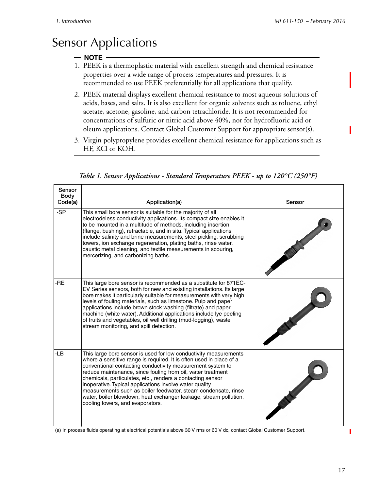# <span id="page-16-0"></span>Sensor Applications

#### <span id="page-16-2"></span> $-$  NOTE  $-$

- 1. PEEK is a thermoplastic material with excellent strength and chemical resistance properties over a wide range of process temperatures and pressures. It is recommended to use PEEK preferentially for all applications that qualify.
- 2. PEEK material displays excellent chemical resistance to most aqueous solutions of acids, bases, and salts. It is also excellent for organic solvents such as toluene, ethyl acetate, acetone, gasoline, and carbon tetrachloride. It is not recommended for concentrations of sulfuric or nitric acid above 40%, nor for hydrofluoric acid or oleum applications. Contact Global Customer Support for appropriate sensor(s).
- 3. Virgin polypropylene provides excellent chemical resistance for applications such as HF, KCl or KOH.

<span id="page-16-1"></span>

| Sensor<br>Body<br>Code(a) | Application(a)                                                                                                                                                                                                                                                                                                                                                                                                                                                                                                                                                           | Sensor |
|---------------------------|--------------------------------------------------------------------------------------------------------------------------------------------------------------------------------------------------------------------------------------------------------------------------------------------------------------------------------------------------------------------------------------------------------------------------------------------------------------------------------------------------------------------------------------------------------------------------|--------|
| $-SP$                     | This small bore sensor is suitable for the majority of all<br>electrodeless conductivity applications. Its compact size enables it<br>to be mounted in a multitude of methods, including insertion<br>(flange, bushing), retractable, and in situ. Typical applications<br>include salinity and brine measurements, steel pickling, scrubbing<br>towers, ion exchange regeneration, plating baths, rinse water,<br>caustic metal cleaning, and textile measurements in scouring,<br>mercerizing, and carbonizing baths.                                                  |        |
| -RE                       | This large bore sensor is recommended as a substitute for 871EC-<br>EV Series sensors, both for new and existing installations. Its large<br>bore makes it particularly suitable for measurements with very high<br>levels of fouling materials, such as limestone. Pulp and paper<br>applications include brown stock washing (filtrate) and paper<br>machine (white water). Additional applications include lye peeling<br>of fruits and vegetables, oil well drilling (mud-logging), waste<br>stream monitoring, and spill detection.                                 |        |
| $-LB$                     | This large bore sensor is used for low conductivity measurements<br>where a sensitive range is required. It is often used in place of a<br>conventional contacting conductivity measurement system to<br>reduce maintenance, since fouling from oil, water treatment<br>chemicals, particulates, etc., renders a contacting sensor<br>inoperative. Typical applications involve water quality<br>measurements such as boiler feedwater, steam condensate, rinse<br>water, boiler blowdown, heat exchanger leakage, stream pollution,<br>cooling towers, and evaporators. |        |

| Table 1. Sensor Applications - Standard Temperature PEEK - up to 120°C (250°F) |  |  |
|--------------------------------------------------------------------------------|--|--|
|                                                                                |  |  |

(a) In process fluids operating at electrical potentials above 30 V rms or 60 V dc, contact Global Customer Support.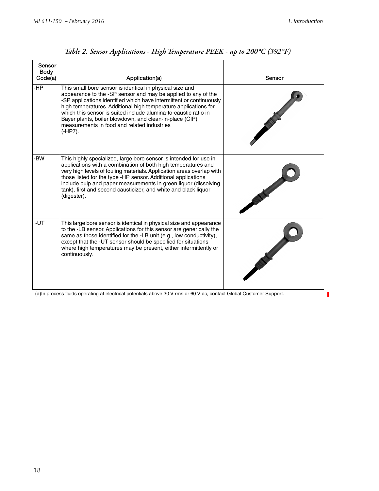$\blacksquare$ 

<span id="page-17-0"></span>

| Sensor<br><b>Body</b><br>Code(a) | Application(a)                                                                                                                                                                                                                                                                                                                                                                                                                                                 | Sensor |
|----------------------------------|----------------------------------------------------------------------------------------------------------------------------------------------------------------------------------------------------------------------------------------------------------------------------------------------------------------------------------------------------------------------------------------------------------------------------------------------------------------|--------|
| -HP                              | This small bore sensor is identical in physical size and<br>appearance to the -SP sensor and may be applied to any of the<br>-SP applications identified which have intermittent or continuously<br>high temperatures. Additional high temperature applications for<br>which this sensor is suited include alumina-to-caustic ratio in<br>Bayer plants, boiler blowdown, and clean-in-place (CIP)<br>measurements in food and related industries<br>$(-HP7)$ . |        |
| -BW                              | This highly specialized, large bore sensor is intended for use in<br>applications with a combination of both high temperatures and<br>very high levels of fouling materials. Application areas overlap with<br>those listed for the type -HP sensor. Additional applications<br>include pulp and paper measurements in green liquor (dissolving<br>tank), first and second causticizer, and white and black liquor<br>(digester).                              |        |
| -UT                              | This large bore sensor is identical in physical size and appearance<br>to the -LB sensor. Applications for this sensor are generically the<br>same as those identified for the -LB unit (e.g., low conductivity),<br>except that the -UT sensor should be specified for situations<br>where high temperatures may be present, either intermittently or<br>continuously.                                                                                        |        |

| Table 2. Sensor Applications - High Temperature PEEK - up to $200^{\circ}C$ (392 $^{\circ}F$ ) |  |
|------------------------------------------------------------------------------------------------|--|
|------------------------------------------------------------------------------------------------|--|

(a)In process fluids operating at electrical potentials above 30 V rms or 60 V dc, contact Global Customer Support.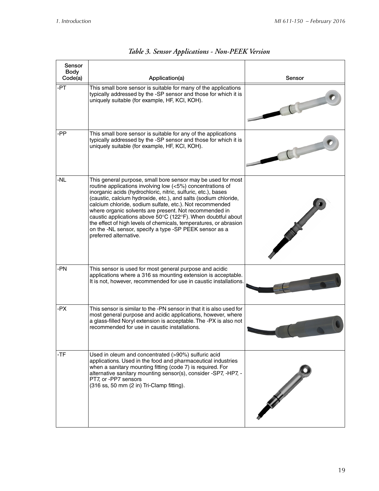<span id="page-18-0"></span>

| Sensor          |                                                                                                                                                                                                                                                                                                                                                                                                                                                                                                                                                                                                               |        |
|-----------------|---------------------------------------------------------------------------------------------------------------------------------------------------------------------------------------------------------------------------------------------------------------------------------------------------------------------------------------------------------------------------------------------------------------------------------------------------------------------------------------------------------------------------------------------------------------------------------------------------------------|--------|
| Body<br>Code(a) | Application(a)                                                                                                                                                                                                                                                                                                                                                                                                                                                                                                                                                                                                | Sensor |
| -PT             | This small bore sensor is suitable for many of the applications<br>typically addressed by the -SP sensor and those for which it is<br>uniquely suitable (for example, HF, KCI, KOH).                                                                                                                                                                                                                                                                                                                                                                                                                          |        |
| -PP.            | This small bore sensor is suitable for any of the applications<br>typically addressed by the -SP sensor and those for which it is<br>uniquely suitable (for example, HF, KCI, KOH).                                                                                                                                                                                                                                                                                                                                                                                                                           |        |
| -NL             | This general purpose, small bore sensor may be used for most<br>routine applications involving low (<5%) concentrations of<br>inorganic acids (hydrochloric, nitric, sulfuric, etc.), bases<br>(caustic, calcium hydroxide, etc.), and salts (sodium chloride,<br>calcium chloride, sodium sulfate, etc.). Not recommended<br>where organic solvents are present. Not recommended in<br>caustic applications above 50°C (122°F). When doubtful about<br>the effect of high levels of chemicals, temperatures, or abrasion<br>on the -NL sensor, specify a type -SP PEEK sensor as a<br>preferred alternative. |        |
| -PN             | This sensor is used for most general purpose and acidic<br>applications where a 316 ss mounting extension is acceptable.<br>It is not, however, recommended for use in caustic installations.                                                                                                                                                                                                                                                                                                                                                                                                                 |        |
| -PX             | This sensor is similar to the -PN sensor in that it is also used for<br>most general purpose and acidic applications, however, where<br>a glass-filled Noryl extension is acceptable. The -PX is also not<br>recommended for use in caustic installations.                                                                                                                                                                                                                                                                                                                                                    |        |
| -TF             | Used in oleum and concentrated (>90%) sulfuric acid<br>applications. Used in the food and pharmaceutical industries<br>when a sanitary mounting fitting (code 7) is required. For<br>alternative sanitary mounting sensor(s), consider -SP7, -HP7, -<br>PT7, or -PP7 sensors<br>(316 ss, 50 mm (2 in) Tri-Clamp fitting).                                                                                                                                                                                                                                                                                     |        |

### *Table 3. Sensor Applications - Non-PEEK Version*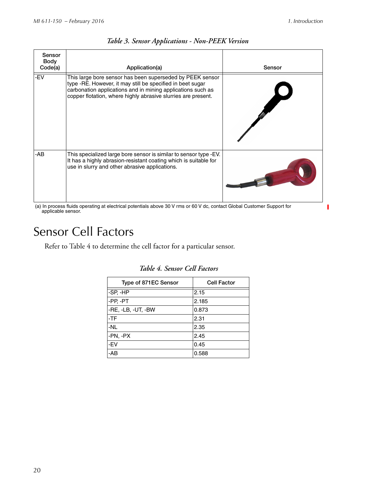ı

| Sensor<br><b>Body</b><br>Code(a) | Application(a)                                                                                                                                                                                                                                          | Sensor |
|----------------------------------|---------------------------------------------------------------------------------------------------------------------------------------------------------------------------------------------------------------------------------------------------------|--------|
| -EV                              | This large bore sensor has been superseded by PEEK sensor<br>type -RE. However, it may still be specified in beet sugar<br>carbonation applications and in mining applications such as<br>copper flotation, where highly abrasive slurries are present. |        |
| -AB                              | This specialized large bore sensor is similar to sensor type -EV.<br>It has a highly abrasion-resistant coating which is suitable for<br>use in slurry and other abrasive applications.                                                                 |        |

#### *Table 3. Sensor Applications - Non-PEEK Version*

(a) In process fluids operating at electrical potentials above 30 V rms or 60 V dc, contact Global Customer Support for applicable sensor.

# <span id="page-19-0"></span>Sensor Cell Factors

<span id="page-19-2"></span><span id="page-19-1"></span>Refer to [Table 4](#page-19-1) to determine the cell factor for a particular sensor.

| Type of 871EC Sensor | <b>Cell Factor</b> |
|----------------------|--------------------|
| -SP, -HP             | 2.15               |
| -PP, -PT             | 2.185              |
| -RE, -LB, -UT, -BW   | 0.873              |
| $-TF$                | 2.31               |
| $-NL$                | 2.35               |
| -PN, -PX             | 2.45               |
| -EV                  | 0.45               |
| $-AB$                | 0.588              |

|  |  | Table 4. Sensor Cell Factors |
|--|--|------------------------------|
|--|--|------------------------------|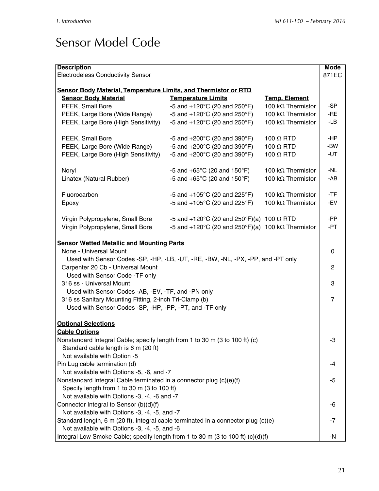# <span id="page-20-0"></span>Sensor Model Code

| <b>Description</b>                                                                                                |                                                                                 |                                           | <b>Mode</b>    |  |  |
|-------------------------------------------------------------------------------------------------------------------|---------------------------------------------------------------------------------|-------------------------------------------|----------------|--|--|
| <b>Electrodeless Conductivity Sensor</b>                                                                          |                                                                                 |                                           | 871EC          |  |  |
|                                                                                                                   |                                                                                 |                                           |                |  |  |
| <b>Sensor Body Material, Temperature Limits, and Thermistor or RTD</b>                                            |                                                                                 |                                           |                |  |  |
| <b>Sensor Body Material</b>                                                                                       | <b>Temperature Limits</b><br>-5 and +120 $^{\circ}$ C (20 and 250 $^{\circ}$ F) | <b>Temp. Element</b><br>100 kΩ Thermistor | -SP            |  |  |
| PEEK, Small Bore                                                                                                  |                                                                                 |                                           |                |  |  |
| PEEK, Large Bore (Wide Range)                                                                                     | -5 and $+120^{\circ}$ C (20 and 250 $^{\circ}$ F)                               | 100 kΩ Thermistor                         | $-RE$          |  |  |
| PEEK, Large Bore (High Sensitivity)                                                                               | -5 and +120 $^{\circ}$ C (20 and 250 $^{\circ}$ F)                              | 100 kΩ Thermistor                         | $-LB$          |  |  |
| PEEK, Small Bore                                                                                                  | -5 and $+200^{\circ}$ C (20 and 390 $^{\circ}$ F)                               | 100 $\Omega$ RTD                          | -HP            |  |  |
| PEEK, Large Bore (Wide Range)                                                                                     | -5 and $+200^{\circ}$ C (20 and 390 $^{\circ}$ F)                               | 100 $\Omega$ RTD                          | $-BW$          |  |  |
| PEEK, Large Bore (High Sensitivity)                                                                               | -5 and $+200^{\circ}$ C (20 and 390 $^{\circ}$ F)                               | 100 $\Omega$ RTD                          | $-UT$          |  |  |
|                                                                                                                   |                                                                                 |                                           |                |  |  |
| Noryl                                                                                                             | -5 and $+65^{\circ}$ C (20 and 150 $^{\circ}$ F)                                | 100 k $\Omega$ Thermistor                 | $-NL$          |  |  |
| Linatex (Natural Rubber)                                                                                          | -5 and $+65^{\circ}$ C (20 and 150 $^{\circ}$ F)                                | 100 kΩ Thermistor                         | -AB            |  |  |
| Fluorocarbon                                                                                                      | -5 and $+105^{\circ}$ C (20 and 225 $^{\circ}$ F)                               | 100 kΩ Thermistor                         | $-TF$          |  |  |
| Epoxy                                                                                                             | -5 and $+105^{\circ}$ C (20 and 225 $^{\circ}$ F)                               | 100 kΩ Thermistor                         | -EV            |  |  |
|                                                                                                                   |                                                                                 |                                           |                |  |  |
| Virgin Polypropylene, Small Bore                                                                                  | -5 and +120°C (20 and 250°F)(a) 100 $\Omega$ RTD                                |                                           | -PP            |  |  |
| Virgin Polypropylene, Small Bore                                                                                  | -5 and +120°C (20 and 250°F)(a) 100 k $\Omega$ Thermistor                       |                                           | $-PT$          |  |  |
|                                                                                                                   |                                                                                 |                                           |                |  |  |
| <b>Sensor Wetted Metallic and Mounting Parts</b>                                                                  |                                                                                 |                                           |                |  |  |
| None - Universal Mount                                                                                            |                                                                                 |                                           | 0              |  |  |
| Used with Sensor Codes -SP, -HP, -LB, -UT, -RE, -BW, -NL, -PX, -PP, and -PT only                                  |                                                                                 |                                           |                |  |  |
| Carpenter 20 Cb - Universal Mount                                                                                 |                                                                                 |                                           | $\overline{c}$ |  |  |
| Used with Sensor Code -TF only                                                                                    |                                                                                 |                                           | 3              |  |  |
| 316 ss - Universal Mount<br>Used with Sensor Codes -AB, -EV, -TF, and -PN only                                    |                                                                                 |                                           |                |  |  |
|                                                                                                                   |                                                                                 |                                           | $\overline{7}$ |  |  |
| 316 ss Sanitary Mounting Fitting, 2-inch Tri-Clamp (b)<br>Used with Sensor Codes -SP, -HP, -PP, -PT, and -TF only |                                                                                 |                                           |                |  |  |
|                                                                                                                   |                                                                                 |                                           |                |  |  |
| <b>Optional Selections</b>                                                                                        |                                                                                 |                                           |                |  |  |
| <b>Cable Options</b>                                                                                              |                                                                                 |                                           |                |  |  |
| Nonstandard Integral Cable; specify length from 1 to 30 m (3 to 100 ft) (c)                                       |                                                                                 |                                           | -3             |  |  |
| Standard cable length is 6 m (20 ft)                                                                              |                                                                                 |                                           |                |  |  |
| Not available with Option -5                                                                                      |                                                                                 |                                           |                |  |  |
| Pin Lug cable termination (d)                                                                                     |                                                                                 |                                           | -4             |  |  |
| Not available with Options -5, -6, and -7                                                                         |                                                                                 |                                           |                |  |  |
| Nonstandard Integral Cable terminated in a connector plug (c)(e)(f)                                               |                                                                                 |                                           |                |  |  |
| Specify length from 1 to 30 m (3 to 100 ft)                                                                       |                                                                                 |                                           |                |  |  |
| Not available with Options -3, -4, -6 and -7                                                                      |                                                                                 |                                           |                |  |  |
| Connector Integral to Sensor (b)(d)(f)                                                                            |                                                                                 |                                           | -6             |  |  |
| Not available with Options -3, -4, -5, and -7                                                                     |                                                                                 |                                           |                |  |  |
| Standard length, 6 m (20 ft), integral cable terminated in a connector plug (c)(e)                                |                                                                                 |                                           | -7             |  |  |
| Not available with Options -3, -4, -5, and -6                                                                     |                                                                                 |                                           | -N             |  |  |
| Integral Low Smoke Cable; specify length from 1 to 30 m (3 to 100 ft) (c)(d)(f)                                   |                                                                                 |                                           |                |  |  |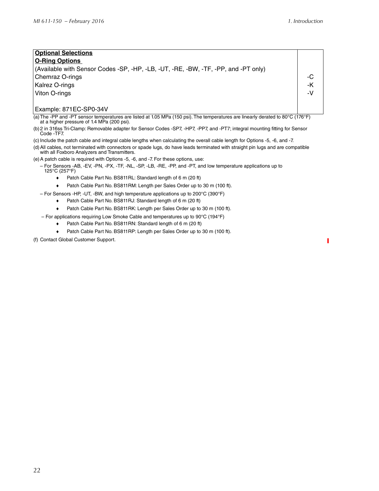| <b>Optional Selections</b>                                                         |    |
|------------------------------------------------------------------------------------|----|
| <b>O-Ring Options</b>                                                              |    |
| (Available with Sensor Codes -SP, -HP, -LB, -UT, -RE, -BW, -TF, -PP, and -PT only) |    |
| Chemraz O-rings                                                                    | -C |
| Kalrez O-rings                                                                     | -K |
| Viton O-rings                                                                      | -V |
|                                                                                    |    |
| Example: 871EC-SP0-34V                                                             |    |

(a)The -PP and -PT sensor temperatures are listed at 1.05 MPa (150 psi). The temperatures are linearly derated to 80°C (176°F) at a higher pressure of 1.4 MPa (200 psi).

- (b)2 in 316ss Tri-Clamp: Removable adapter for Sensor Codes -SP7, -HP7, -PP7, and -PT7; integral mounting fitting for Sensor Code -TF7.
- (c) Include the patch cable and integral cable lengths when calculating the overall cable length for Options -5, -6, and -7.
- (d)All cables, not terminated with connectors or spade lugs, do have leads terminated with straight pin lugs and are compatible with all Foxboro Analyzers and Transmitters.

(e)A patch cable is required with Options -5, -6, and -7. For these options, use:

– For Sensors -AB, -EV, -PN, -PX, -TF, -NL, -SP, -LB, -RE, -PP, and -PT, and low temperature applications up to 125°C (257°F)

- ◆ Patch Cable Part No. BS811RL: Standard length of 6 m (20 ft)
- Patch Cable Part No. BS811RM: Length per Sales Order up to 30 m (100 ft).

– For Sensors -HP, -UT, -BW, and high temperature applications up to 200°C (390°F)

Patch Cable Part No. BS811RJ: Standard length of 6 m (20 ft)

Patch Cable Part No. BS811RK: Length per Sales Order up to 30 m (100 ft).

– For applications requiring Low Smoke Cable and temperatures up to 90°C (194°F)

- Patch Cable Part No. BS811RN: Standard length of 6 m (20 ft)
- Patch Cable Part No. BS811RP: Length per Sales Order up to 30 m (100 ft).

(f) Contact Global Customer Support.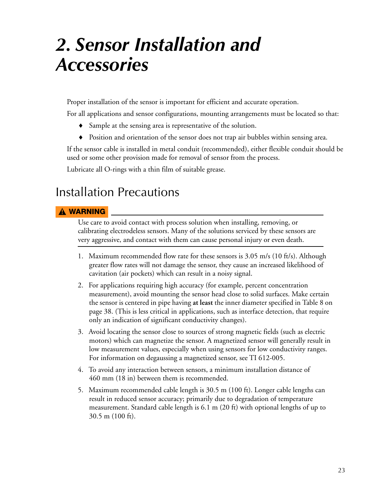# <span id="page-22-4"></span><span id="page-22-3"></span><span id="page-22-0"></span>*2. Sensor Installation and Accessories*

Proper installation of the sensor is important for efficient and accurate operation.

For all applications and sensor configurations, mounting arrangements must be located so that:

- Sample at the sensing area is representative of the solution.
- Position and orientation of the sensor does not trap air bubbles within sensing area.

If the sensor cable is installed in metal conduit (recommended), either flexible conduit should be used or some other provision made for removal of sensor from the process.

<span id="page-22-5"></span>Lubricate all O-rings with a thin film of suitable grease.

# <span id="page-22-2"></span><span id="page-22-1"></span>Installation Precautions

### **!** WARNING

Use care to avoid contact with process solution when installing, removing, or calibrating electrodeless sensors. Many of the solutions serviced by these sensors are very aggressive, and contact with them can cause personal injury or even death.

- 1. Maximum recommended flow rate for these sensors is 3.05 m/s (10 ft/s). Although greater flow rates will not damage the sensor, they cause an increased likelihood of cavitation (air pockets) which can result in a noisy signal.
- 2. For applications requiring high accuracy (for example, percent concentration measurement), avoid mounting the sensor head close to solid surfaces. Make certain the sensor is centered in pipe having **at least** the inner diameter specified in [Table 8 on](#page-37-2)  [page 38.](#page-37-2) (This is less critical in applications, such as interface detection, that require only an indication of significant conductivity changes).
- 3. Avoid locating the sensor close to sources of strong magnetic fields (such as electric motors) which can magnetize the sensor. A magnetized sensor will generally result in low measurement values, especially when using sensors for low conductivity ranges. For information on degaussing a magnetized sensor, see TI 612-005.
- 4. To avoid any interaction between sensors, a minimum installation distance of 460 mm (18 in) between them is recommended.
- 5. Maximum recommended cable length is 30.5 m (100 ft). Longer cable lengths can result in reduced sensor accuracy; primarily due to degradation of temperature measurement. Standard cable length is 6.1 m (20 ft) with optional lengths of up to 30.5 m (100 ft).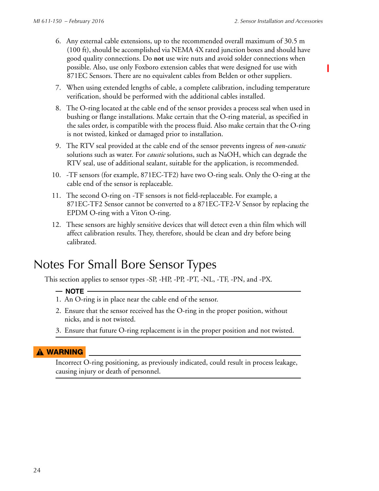- 6. Any external cable extensions, up to the recommended overall maximum of 30.5 m (100 ft), should be accomplished via NEMA 4X rated junction boxes and should have good quality connections. Do **not** use wire nuts and avoid solder connections when possible. Also, use only Foxboro extension cables that were designed for use with 871EC Sensors. There are no equivalent cables from Belden or other suppliers.
- 7. When using extended lengths of cable, a complete calibration, including temperature verification, should be performed with the additional cables installed.
- 8. The O-ring located at the cable end of the sensor provides a process seal when used in bushing or flange installations. Make certain that the O-ring material, as specified in the sales order, is compatible with the process fluid. Also make certain that the O-ring is not twisted, kinked or damaged prior to installation.
- 9. The RTV seal provided at the cable end of the sensor prevents ingress of *non-caustic* solutions such as water. For *caustic* solutions, such as NaOH, which can degrade the RTV seal, use of additional sealant, suitable for the application, is recommended.
- 10. -TF sensors (for example, 871EC-TF2) have two O-ring seals. Only the O-ring at the cable end of the sensor is replaceable.
- 11. The second O-ring on -TF sensors is not field-replaceable. For example, a 871EC-TF2 Sensor cannot be converted to a 871EC-TF2-V Sensor by replacing the EPDM O-ring with a Viton O-ring.
- 12. These sensors are highly sensitive devices that will detect even a thin film which will affect calibration results. They, therefore, should be clean and dry before being calibrated.

# <span id="page-23-0"></span>Notes For Small Bore Sensor Types

This section applies to sensor types -SP, -HP, -PP, -PT, -NL, -TF, -PN, and -PX.

- $-$  NOTE  $-$
- 1. An O-ring is in place near the cable end of the sensor.
- 2. Ensure that the sensor received has the O-ring in the proper position, without nicks, and is not twisted.
- 3. Ensure that future O-ring replacement is in the proper position and not twisted.

#### **!** WARNING

Incorrect O-ring positioning, as previously indicated, could result in process leakage, causing injury or death of personnel.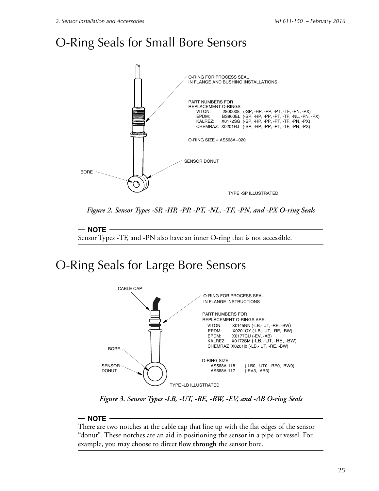# <span id="page-24-4"></span><span id="page-24-0"></span>O-Ring Seals for Small Bore Sensors



*Figure 2. Sensor Types -SP, -HP, -PP, -PT, -NL, -TF, -PN, and -PX O-ring Seals*

<span id="page-24-2"></span>**NOTE** Sensor Types -TF, and -PN also have an inner O-ring that is not accessible.

# <span id="page-24-1"></span>O-Ring Seals for Large Bore Sensors



*Figure 3. Sensor Types -LB, -UT, -RE, -BW, -EV, and -AB O-ring Seals*

#### <span id="page-24-3"></span> $-$  NOTE  $\cdot$

There are two notches at the cable cap that line up with the flat edges of the sensor "donut". These notches are an aid in positioning the sensor in a pipe or vessel. For example, you may choose to direct flow **through** the sensor bore.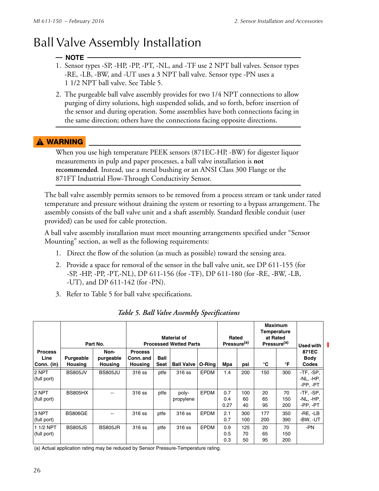# <span id="page-25-2"></span><span id="page-25-0"></span>Ball Valve Assembly Installation

#### $-$  NOTE  $-$

- 1. Sensor types -SP, -HP, -PP, -PT, -NL, and -TF use 2 NPT ball valves. Sensor types -RE, -LB, -BW, and -UT uses a 3 NPT ball valve. Sensor type -PN uses a 1 1/2 NPT ball valve. See [Table 5](#page-25-1).
- 2. The purgeable ball valve assembly provides for two 1/4 NPT connections to allow purging of dirty solutions, high suspended solids, and so forth, before insertion of the sensor and during operation. Some assemblies have both connections facing in the same direction; others have the connections facing opposite directions.

### **!** WARNING

When you use high temperature PEEK sensors (871EC-HP, -BW) for digester liquor measurements in pulp and paper processes, a ball valve installation is **not recommended**. Instead, use a metal bushing or an ANSI Class 300 Flange or the 871FT Industrial Flow-Through Conductivity Sensor.

The ball valve assembly permits sensors to be removed from a process stream or tank under rated temperature and pressure without draining the system or resorting to a bypass arrangement. The assembly consists of the ball valve unit and a shaft assembly. Standard flexible conduit (user provided) can be used for cable protection.

A ball valve assembly installation must meet mounting arrangements specified under "Sensor Mounting" section, as well as the following requirements:

- 1. Direct the flow of the solution (as much as possible) toward the sensing area.
- 2. Provide a space for removal of the sensor in the ball valve unit, see DP 611-155 (for -SP, -HP, -PP, -PT,-NL), DP 611-156 (for -TF), DP 611-180 (for -RE, -BW, -LB, -UT), and DP 611-142 (for -PN).
- 3. Refer to [Table 5](#page-25-1) for ball valve specifications.

<span id="page-25-1"></span>

|                                      |                      | Part No.                     | <b>Material of</b><br><b>Processed Wetted Parts</b> |              |                    | Rated<br>Pressure <sup>(a)</sup> |                    | at Rated<br>Pressure <sup>(a)</sup> | <b>Maximum</b><br>Temperature | Used with        |                                              |
|--------------------------------------|----------------------|------------------------------|-----------------------------------------------------|--------------|--------------------|----------------------------------|--------------------|-------------------------------------|-------------------------------|------------------|----------------------------------------------|
| <b>Process</b><br>Line<br>Conn. (in) | Purgeable<br>Housing | Non-<br>purgeable<br>Housing | <b>Process</b><br>Conn. and<br>Housing              | Ball<br>Seat | <b>Ball Valve</b>  | O-Ring                           | Mpa                | psi                                 | °C                            | °F               | 871EC<br>Body<br><b>Codes</b>                |
| 2 NPT<br>(full port)                 | <b>BS805JV</b>       | <b>BS805JU</b>               | 316 ss                                              | ptfe         | 316 ss             | <b>EPDM</b>                      | 1.4                | 200                                 | 150                           | 300              | $-TF, -SP,$<br>$-NL$ , $-HP$ ,<br>$-PP, -PT$ |
| 2 NPT<br>(full port)                 | <b>BS805HX</b>       |                              | 316 ss                                              | ptfe         | poly-<br>propylene | <b>EPDM</b>                      | 0.7<br>0.4<br>0.27 | 100<br>60<br>40                     | 20<br>65<br>95                | 70<br>150<br>200 | $-TF, -SP,$<br>$-NL, -HP,$<br>$-PP, -PT$     |
| 3 NPT<br>(full port)                 | <b>BS806GE</b>       |                              | 316 ss                                              | ptfe         | 316 ss             | <b>EPDM</b>                      | 2.1<br>0.7         | 300<br>100                          | 177<br>200                    | 350<br>390       | $-RE$ , $-LB$<br>-BW, -UT                    |
| 1 1/2 NPT<br>(full port)             | <b>BS805JS</b>       | <b>BS805JR</b>               | 316 ss                                              | ptfe         | 316 ss             | <b>EPDM</b>                      | 0.9<br>0.5<br>0.3  | 125<br>70<br>50                     | 20<br>65<br>95                | 70<br>150<br>200 | -PN                                          |

*Table 5. Ball Valve Assembly Specifications*

(a) Actual application rating may be reduced by Sensor Pressure-Temperature rating.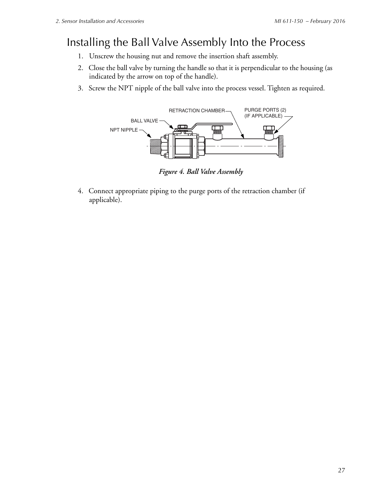### <span id="page-26-0"></span>Installing the Ball Valve Assembly Into the Process

- 1. Unscrew the housing nut and remove the insertion shaft assembly.
- 2. Close the ball valve by turning the handle so that it is perpendicular to the housing (as indicated by the arrow on top of the handle).
- 3. Screw the NPT nipple of the ball valve into the process vessel. Tighten as required.



*Figure 4. Ball Valve Assembly*

<span id="page-26-1"></span>4. Connect appropriate piping to the purge ports of the retraction chamber (if applicable).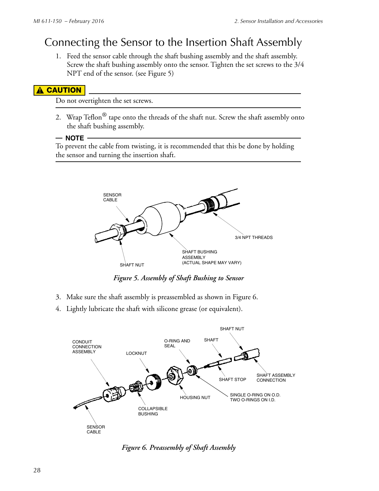### <span id="page-27-0"></span>Connecting the Sensor to the Insertion Shaft Assembly

1. Feed the sensor cable through the shaft bushing assembly and the shaft assembly. Screw the shaft bushing assembly onto the sensor. Tighten the set screws to the 3/4 NPT end of the sensor. (see [Figure 5](#page-27-1))

### **!** CAUTION

Do not overtighten the set screws.

2. Wrap Teflon $^{\circledR}$  tape onto the threads of the shaft nut. Screw the shaft assembly onto the shaft bushing assembly.

**NOTE**

To prevent the cable from twisting, it is recommended that this be done by holding the sensor and turning the insertion shaft.



*Figure 5. Assembly of Shaft Bushing to Sensor*

- <span id="page-27-1"></span>3. Make sure the shaft assembly is preassembled as shown in [Figure 6](#page-27-2).
- 4. Lightly lubricate the shaft with silicone grease (or equivalent).



<span id="page-27-2"></span>*Figure 6. Preassembly of Shaft Assembly*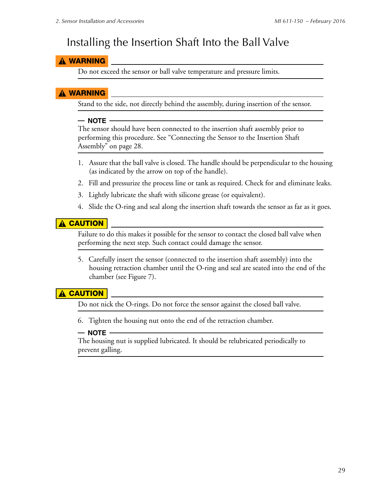## <span id="page-28-0"></span>Installing the Insertion Shaft Into the Ball Valve

### **!** WARNING

Do not exceed the sensor or ball valve temperature and pressure limits.

### **!** WARNING

Stand to the side, not directly behind the assembly, during insertion of the sensor.

#### $-$  NOTE  $-$

The sensor should have been connected to the insertion shaft assembly prior to performing this procedure. See ["Connecting the Sensor to the Insertion Shaft](#page-27-0)  [Assembly" on page 28](#page-27-0).

- 1. Assure that the ball valve is closed. The handle should be perpendicular to the housing (as indicated by the arrow on top of the handle).
- 2. Fill and pressurize the process line or tank as required. Check for and eliminate leaks.
- 3. Lightly lubricate the shaft with silicone grease (or equivalent).
- 4. Slide the O-ring and seal along the insertion shaft towards the sensor as far as it goes.

### **!** CAUTION

Failure to do this makes it possible for the sensor to contact the closed ball valve when performing the next step. Such contact could damage the sensor.

5. Carefully insert the sensor (connected to the insertion shaft assembly) into the housing retraction chamber until the O-ring and seal are seated into the end of the chamber (see [Figure 7](#page-29-0)).

### **!** CAUTION

Do not nick the O-rings. Do not force the sensor against the closed ball valve.

6. Tighten the housing nut onto the end of the retraction chamber.

#### **NOTE**

The housing nut is supplied lubricated. It should be relubricated periodically to prevent galling.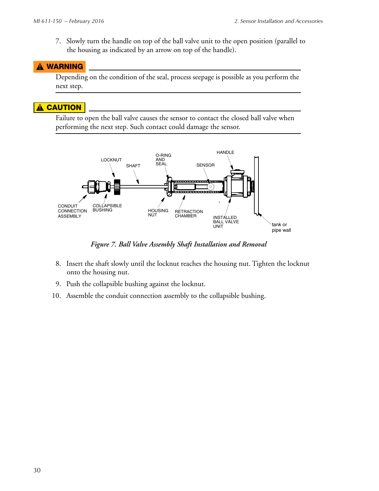7. Slowly turn the handle on top of the ball valve unit to the open position (parallel to the housing as indicated by an arrow on top of the handle).

#### **!** WARNING

Depending on the condition of the seal, process seepage is possible as you perform the next step.

#### **!** CAUTION

Failure to open the ball valve causes the sensor to contact the closed ball valve when performing the next step. Such contact could damage the sensor.



*Figure 7. Ball Valve Assembly Shaft Installation and Removal*

- <span id="page-29-0"></span>8. Insert the shaft slowly until the locknut reaches the housing nut. Tighten the locknut onto the housing nut.
- 9. Push the collapsible bushing against the locknut.
- 10. Assemble the conduit connection assembly to the collapsible bushing.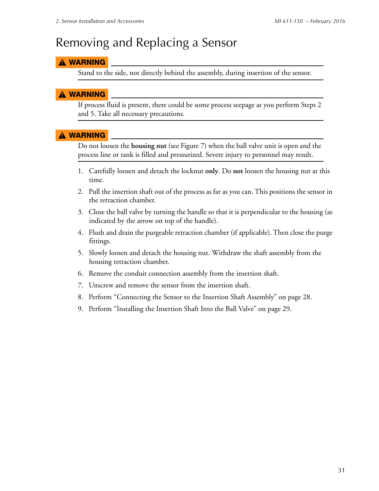# <span id="page-30-1"></span><span id="page-30-0"></span>Removing and Replacing a Sensor

### **!** WARNING

Stand to the side, not directly behind the assembly, during insertion of the sensor.

### **!** WARNING

If process fluid is present, there could be some process seepage as you perform Steps 2 and 5. Take all necessary precautions.

### **!** WARNING

Do not loosen the **housing nut** (see [Figure 7](#page-29-0)) when the ball valve unit is open and the process line or tank is filled and pressurized. Severe injury to personnel may result.

- 1. Carefully loosen and detach the locknut **only**. Do **not** loosen the housing nut at this time.
- 2. Pull the insertion shaft out of the process as far as you can. This positions the sensor in the retraction chamber.
- 3. Close the ball valve by turning the handle so that it is perpendicular to the housing (as indicated by the arrow on top of the handle).
- 4. Flush and drain the purgeable retraction chamber (if applicable). Then close the purge fittings.
- 5. Slowly loosen and detach the housing nut. Withdraw the shaft assembly from the housing retraction chamber.
- 6. Remove the conduit connection assembly from the insertion shaft.
- 7. Unscrew and remove the sensor from the insertion shaft.
- 8. Perform ["Connecting the Sensor to the Insertion Shaft Assembly" on page 28](#page-27-0).
- 9. Perform ["Installing the Insertion Shaft Into the Ball Valve" on page 29.](#page-28-0)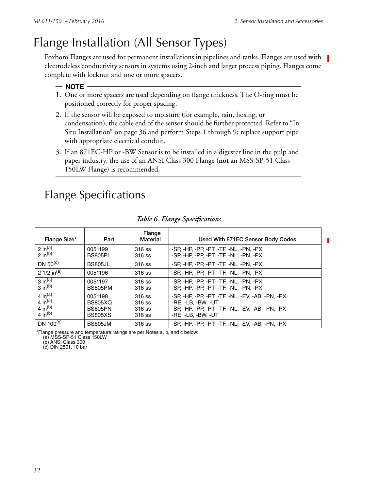ı

# <span id="page-31-3"></span><span id="page-31-0"></span>Flange Installation (All Sensor Types)

Foxboro Flanges are used for permanent installations in pipelines and tanks. Flanges are used with electrodeless conductivity sensors in systems using 2-inch and larger process piping. Flanges come complete with locknut and one or more spacers.

#### $-$  NOTE

- 1. One or more spacers are used depending on flange thickness. The O-ring must be positioned correctly for proper spacing.
- 2. If the sensor will be exposed to moisture (for example, rain, hosing, or condensation), the cable end of the sensor should be further protected. Refer to ["In](#page-35-0)  [Situ Installation" on page 36](#page-35-0) and perform Steps 1 through 9; replace support pipe with appropriate electrical conduit.
- 3. If an 871EC-HP or -BW Sensor is to be installed in a digester line in the pulp and paper industry, the use of an ANSI Class 300 Flange (**not** an MSS-SP-51 Class 150LW Flange) is recommended.

## <span id="page-31-1"></span>Flange Specifications

<span id="page-31-2"></span>

| Flange Size*                                                                              | Part                                                          | Flange<br><b>Material</b>                | Used With 871EC Sensor Body Codes                                                                                                                |
|-------------------------------------------------------------------------------------------|---------------------------------------------------------------|------------------------------------------|--------------------------------------------------------------------------------------------------------------------------------------------------|
| $2 \text{ in}^{(\text{a})}$<br>$2 \text{ in}^{(b)}$                                       | 0051199<br><b>BS805PL</b>                                     | 316 ss<br>316 ss                         | -SP. -HP. -PP. -PT. -TF. -NL. -PN. -PX<br>-SP, -HP, -PP, -PT, -TF, -NL, -PN, -PX                                                                 |
| DN $50^{(c)}$                                                                             | <b>BS805JL</b>                                                | 316 ss                                   | -SP, -HP, -PP, -PT, -TF, -NL, -PN, -PX                                                                                                           |
| 2 1/2 in <sup>(a)</sup>                                                                   | 0051196                                                       | 316 ss                                   | -SP. -HP. -PP. -PT. -TF. -NL. -PN. -PX                                                                                                           |
| $3 \text{ in}^{(a)}$<br>$3 \text{ in}^{(b)}$                                              | 0051197<br><b>BS805PM</b>                                     | 316 ss<br>316 ss                         | -SP. -HP. -PP. -PT. -TF. -NL. -PN. -PX<br>-SP. -HP. -PP. -PT. -TF. -NL. -PN. -PX                                                                 |
| $4 \text{ in}^{(a)}$<br>4 in <sup>(a)</sup><br>4 in <sup>(b)</sup><br>4 in <sup>(b)</sup> | 0051198<br><b>BS805XQ</b><br><b>BS805PN</b><br><b>BS805XS</b> | 316 ss<br>316 ss<br>$316$ ss<br>$316$ ss | -SP, -HP, -PP, -PT, -TF, -NL, -EV, -AB, -PN, -PX<br>-RE. -LB. -BW. -UT<br>-SP, -HP, -PP, -PT, -TF, -NL, -EV, -AB, -PN, -PX<br>-RE, -LB, -BW, -UT |
| DN $100^{(c)}$                                                                            | <b>BS805JM</b>                                                | 316 ss                                   | -SP, -HP, -PP, -PT, -TF, -NL, -EV, -AB, -PN, -PX                                                                                                 |

*Table 6. Flange Specifications*

\*Flange pressure and temperature ratings are per Notes a, b, and c below:

(a) MSS-SP-51 Class 150LW

(b) ANSI Class 300 (c) DIN 2501, 10 bar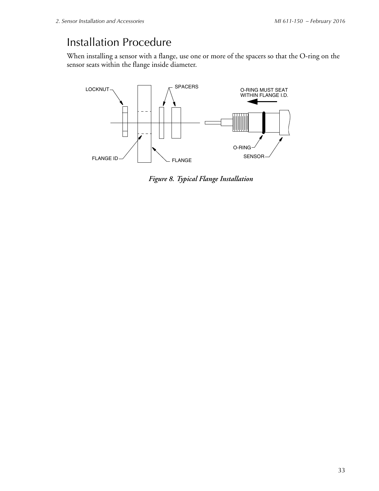### <span id="page-32-0"></span>Installation Procedure

When installing a sensor with a flange, use one or more of the spacers so that the O-ring on the sensor seats within the flange inside diameter.



<span id="page-32-1"></span>*Figure 8. Typical Flange Installation*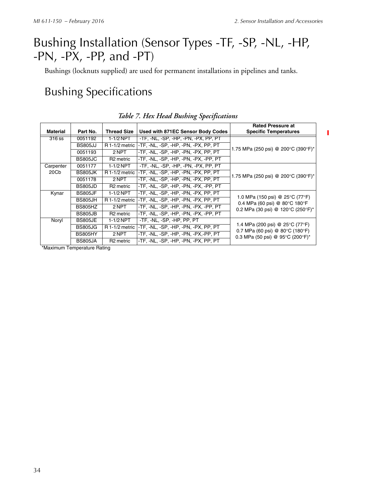# <span id="page-33-3"></span><span id="page-33-0"></span>Bushing Installation (Sensor Types -TF, -SP, -NL, -HP, -PN, -PX, -PP, and -PT)

Bushings (locknuts supplied) are used for permanent installations in pipelines and tanks.

## <span id="page-33-1"></span>Bushing Specifications

<span id="page-33-2"></span>

| Material  | Part No.       | <b>Thread Size</b>    | Used with 871EC Sensor Body Codes                     | <b>Rated Pressure at</b><br><b>Specific Temperatures</b>                                                   |
|-----------|----------------|-----------------------|-------------------------------------------------------|------------------------------------------------------------------------------------------------------------|
| $316$ ss  | 0051192        | 1-1/2 NPT             | <u>-TF, -NL, -SP, -HP, -PN, -PX, PP, PT</u>           |                                                                                                            |
|           | <b>BS805JJ</b> |                       | R 1-1/2 metric   -TF, -NL, -SP, -HP, -PN, -PX, PP, PT | 1.75 MPa (250 psi) @ 200°C (390°F)*                                                                        |
|           | 0051193        | 2 NPT                 | -TF, -NL, -SP, -HP, -PN, -PX, PP, PT                  |                                                                                                            |
|           | <b>BS805JC</b> | R <sub>2</sub> metric | -TF, -NL, -SP, -HP, -PN, -PX, -PP, PT                 |                                                                                                            |
| Carpenter | 0051177        | $1-1/2$ NPT           | -TF, -NL, -SP, -HP, -PN, -PX, PP, PT                  |                                                                                                            |
| 20Cb      | BS805JK        |                       | R 1-1/2 metric   -TF, -NL, -SP, -HP, -PN, -PX, PP, PT | 1.75 MPa (250 psi) @ 200°C (390°F)*                                                                        |
|           | 0051178        | 2 NPT                 | -TF, -NL, -SP, -HP, -PN, -PX, PP, PT                  |                                                                                                            |
|           | <b>BS805JD</b> | R <sub>2</sub> metric | -TF, -NL, -SP, -HP, -PN, -PX, -PP, PT                 |                                                                                                            |
| Kynar     | <b>BS805JF</b> | 1-1/2 NPT             | -TF, -NL, -SP, -HP, -PN, -PX, PP, PT                  |                                                                                                            |
|           | <b>BS805JH</b> |                       | R 1-1/2 metric   -TF, -NL, -SP, -HP, -PN, -PX, PP, PT | 1.0 MPa (150 psi) @ 25°C (77°F)<br>0.4 MPa (60 psi) @ 80°C 180°F                                           |
|           | BS805HZ        | 2 NPT                 | -TF, -NL, -SP, -HP, -PN, -PX, -PP, PT                 | 0.2 MPa (30 psi) @ 120°C (250°F)*                                                                          |
|           | <b>BS805JB</b> | R <sub>2</sub> metric | -TF, -NL, -SP, -HP, -PN, -PX, -PP, PT                 |                                                                                                            |
| Noryl     | <b>BS805JE</b> | 1-1/2 NPT             | -TF, -NL, -SP, -HP, PP, PT                            |                                                                                                            |
|           | <b>BS805JG</b> | R 1-1/2 metric I      | TF, -NL, -SP, -HP, -PN, -PX, PP, PT                   | 1.4 MPa (200 psi) @ 25 $\degree$ C (77 $\degree$ F)<br>0.7 MPa (60 psi) @ 80 $\degree$ C (180 $\degree$ F) |
|           | <b>BS805HY</b> | 2 NPT                 | -TF, -NL, -SP, -HP, -PN, -PX,-PP, PT                  | 0.3 MPa (50 psi) @ 95°C (200°F)*                                                                           |
|           | <b>BS805JA</b> | R <sub>2</sub> metric | -TF, -NL, -SP, -HP, -PN, -PX, PP, PT                  |                                                                                                            |

#### *Table 7. Hex Head Bushing Specifications*

\*Maximum Temperature Rating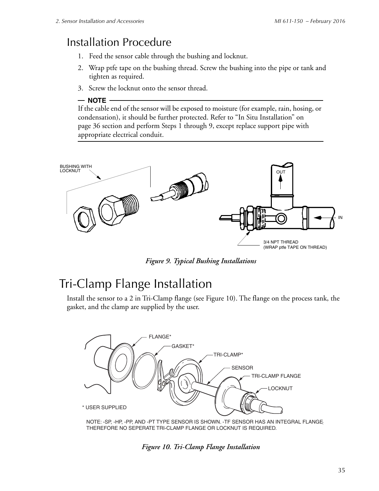## <span id="page-34-0"></span>Installation Procedure

- 1. Feed the sensor cable through the bushing and locknut.
- 2. Wrap ptfe tape on the bushing thread. Screw the bushing into the pipe or tank and tighten as required.
- 3. Screw the locknut onto the sensor thread.

#### $-$  NOTE  $-$

If the cable end of the sensor will be exposed to moisture (for example, rain, hosing, or condensation), it should be further protected. Refer to ["In Situ Installation" on](#page-35-0)  [page 36](#page-35-0) section and perform Steps 1 through 9, except replace support pipe with appropriate electrical conduit.



*Figure 9. Typical Bushing Installations* 

# <span id="page-34-4"></span><span id="page-34-2"></span><span id="page-34-1"></span>Tri-Clamp Flange Installation

Install the sensor to a 2 in Tri-Clamp flange (see [Figure 10\)](#page-34-3). The flange on the process tank, the gasket, and the clamp are supplied by the user.



<span id="page-34-3"></span>NOTE: -sp, -hp, -pp, AND -pt TYPE SENSOR IS SHOWN. -tf SENSOR HAS AN INTEGRAL TRI-CLAMP FLA NOTE: -SP, -HP, -PP, AND -PT TYPE SENSOR IS SHOWN. -TF SENSOR HAS AN INTEGRAL FLANGE THEREFORE NO SEPERATE TRI-CLAMP FLANGE OR LOCKNUT IS REQUIRED.

*Figure 10. Tri-Clamp Flange Installation*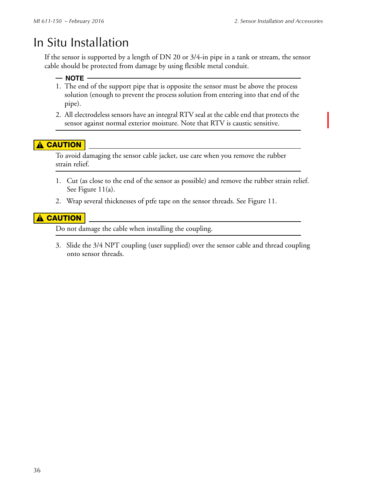# <span id="page-35-1"></span><span id="page-35-0"></span>In Situ Installation

If the sensor is supported by a length of DN 20 or 3/4-in pipe in a tank or stream, the sensor cable should be protected from damage by using flexible metal conduit.

#### $-$  NOTE  $-$

- 1. The end of the support pipe that is opposite the sensor must be above the process solution (enough to prevent the process solution from entering into that end of the pipe).
- 2. All electrodeless sensors have an integral RTV seal at the cable end that protects the sensor against normal exterior moisture. Note that RTV is caustic sensitive.

### **!** CAUTION

To avoid damaging the sensor cable jacket, use care when you remove the rubber strain relief.

- 1. Cut (as close to the end of the sensor as possible) and remove the rubber strain relief. See [Figure 11](#page-36-0)(a).
- 2. Wrap several thicknesses of ptfe tape on the sensor threads. See [Figure 11.](#page-36-0)

### **!** CAUTION

Do not damage the cable when installing the coupling.

3. Slide the 3/4 NPT coupling (user supplied) over the sensor cable and thread coupling onto sensor threads.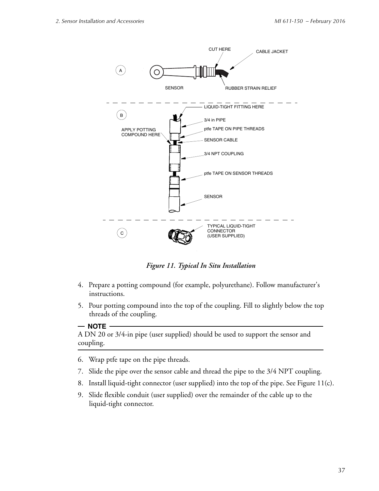

*Figure 11. Typical In Situ Installation*

- <span id="page-36-0"></span>4. Prepare a potting compound (for example, polyurethane). Follow manufacturer's instructions.
- 5. Pour potting compound into the top of the coupling. Fill to slightly below the top threads of the coupling.

#### $-$  NOTE

A DN 20 or 3/4-in pipe (user supplied) should be used to support the sensor and coupling.

- 6. Wrap ptfe tape on the pipe threads.
- 7. Slide the pipe over the sensor cable and thread the pipe to the 3/4 NPT coupling.
- 8. Install liquid-tight connector (user supplied) into the top of the pipe. See [Figure 11\(](#page-36-0)c).
- 9. Slide flexible conduit (user supplied) over the remainder of the cable up to the liquid-tight connector.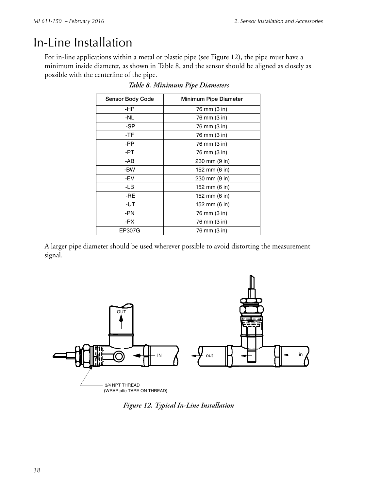# <span id="page-37-4"></span><span id="page-37-0"></span>In-Line Installation

<span id="page-37-2"></span>For in-line applications within a metal or plastic pipe (see [Figure 12\)](#page-37-1), the pipe must have a minimum inside diameter, as shown in [Table 8](#page-37-2), and the sensor should be aligned as closely as possible with the centerline of the pipe.

| Sensor Body Code | Minimum Pipe Diameter |  |  |  |  |  |  |
|------------------|-----------------------|--|--|--|--|--|--|
| -HP              | 76 mm (3 in)          |  |  |  |  |  |  |
| -NL              | 76 mm (3 in)          |  |  |  |  |  |  |
| -SP              | 76 mm (3 in)          |  |  |  |  |  |  |
| -TF              | 76 mm (3 in)          |  |  |  |  |  |  |
| -PP              | 76 mm (3 in)          |  |  |  |  |  |  |
| -PT              | 76 mm (3 in)          |  |  |  |  |  |  |
| -AB              | 230 mm (9 in)         |  |  |  |  |  |  |
| -BW              | 152 mm (6 in)         |  |  |  |  |  |  |
| -EV              | 230 mm (9 in)         |  |  |  |  |  |  |
| -LB              | 152 mm (6 in)         |  |  |  |  |  |  |
| -RE              | 152 mm (6 in)         |  |  |  |  |  |  |
| -UT              | 152 mm (6 in)         |  |  |  |  |  |  |
| -PN              | 76 mm (3 in)          |  |  |  |  |  |  |
| -PX              | 76 mm (3 in)          |  |  |  |  |  |  |
| EP307G           | 76 mm (3 in)          |  |  |  |  |  |  |

<span id="page-37-3"></span>*Table 8. Minimum Pipe Diameters*

A larger pipe diameter should be used wherever possible to avoid distorting the measurement signal.



<span id="page-37-1"></span>*Figure 12. Typical In-Line Installation*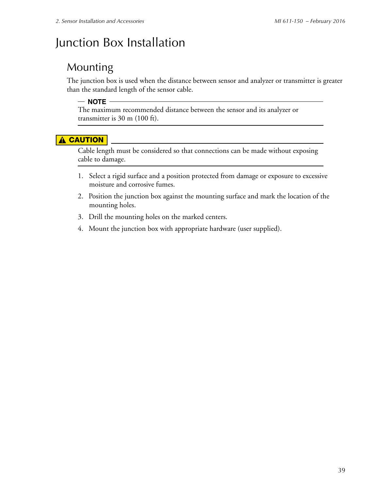# <span id="page-38-2"></span><span id="page-38-0"></span>Junction Box Installation

## <span id="page-38-1"></span>Mounting

The junction box is used when the distance between sensor and analyzer or transmitter is greater than the standard length of the sensor cable.

#### $-$  NOTE  $-$

The maximum recommended distance between the sensor and its analyzer or transmitter is 30 m (100 ft).

### **A** CAUTION

Cable length must be considered so that connections can be made without exposing cable to damage.

- 1. Select a rigid surface and a position protected from damage or exposure to excessive moisture and corrosive fumes.
- 2. Position the junction box against the mounting surface and mark the location of the mounting holes.
- 3. Drill the mounting holes on the marked centers.
- 4. Mount the junction box with appropriate hardware (user supplied).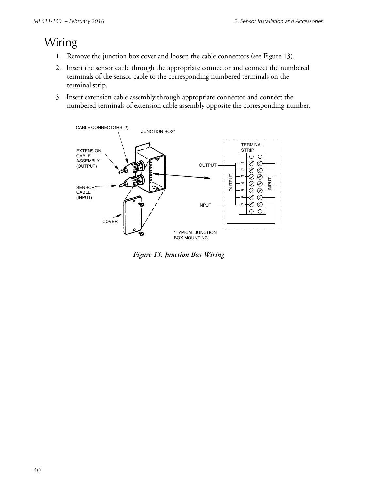# <span id="page-39-0"></span>Wiring

- 1. Remove the junction box cover and loosen the cable connectors (see [Figure 13\)](#page-39-1).
- 2. Insert the sensor cable through the appropriate connector and connect the numbered terminals of the sensor cable to the corresponding numbered terminals on the terminal strip.
- 3. Insert extension cable assembly through appropriate connector and connect the numbered terminals of extension cable assembly opposite the corresponding number.



<span id="page-39-1"></span>*Figure 13. Junction Box Wiring*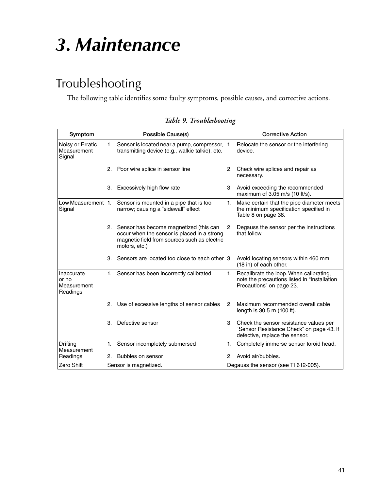# <span id="page-40-3"></span><span id="page-40-0"></span>*3. Maintenance*

# <span id="page-40-4"></span><span id="page-40-1"></span>Troubleshooting

The following table identifies some faulty symptoms, possible causes, and corrective actions.

<span id="page-40-2"></span>

| Symptom                                        | Possible Cause(s)                                                                                                                                         | <b>Corrective Action</b>                                                                                                  |  |  |  |  |  |
|------------------------------------------------|-----------------------------------------------------------------------------------------------------------------------------------------------------------|---------------------------------------------------------------------------------------------------------------------------|--|--|--|--|--|
| Noisy or Erratic<br>Measurement<br>Signal      | 1.<br>Sensor is located near a pump, compressor,<br>transmitting device (e.g., walkie talkie), etc.                                                       | Relocate the sensor or the interfering<br>1.<br>device.                                                                   |  |  |  |  |  |
|                                                | 2.<br>Poor wire splice in sensor line                                                                                                                     | Check wire splices and repair as<br>2.<br>necessary.                                                                      |  |  |  |  |  |
|                                                | Excessively high flow rate<br>З.                                                                                                                          | Avoid exceeding the recommended<br>3.<br>maximum of 3.05 m/s (10 ft/s).                                                   |  |  |  |  |  |
| Low Measurement 1.<br>Signal                   | Sensor is mounted in a pipe that is too<br>narrow; causing a "sidewall" effect                                                                            | 1.<br>Make certain that the pipe diameter meets<br>the minimum specification specified in<br>Table 8 on page 38.          |  |  |  |  |  |
|                                                | 2. Sensor has become magnetized (this can<br>occur when the sensor is placed in a strong<br>magnetic field from sources such as electric<br>motors, etc.) | 2.<br>Degauss the sensor per the instructions<br>that follow.                                                             |  |  |  |  |  |
|                                                | Sensors are located too close to each other 13.<br>3.                                                                                                     | Avoid locating sensors within 460 mm<br>(18 in) of each other.                                                            |  |  |  |  |  |
| Inaccurate<br>or no<br>Measurement<br>Readings | 1.<br>Sensor has been incorrectly calibrated                                                                                                              | 1.<br>Recalibrate the loop. When calibrating,<br>note the precautions listed in "Installation<br>Precautions" on page 23. |  |  |  |  |  |
|                                                | 2. Use of excessive lengths of sensor cables                                                                                                              | Maximum recommended overall cable<br>2.<br>length is 30.5 m (100 ft).                                                     |  |  |  |  |  |
|                                                | 3.<br>Defective sensor                                                                                                                                    | 3. Check the sensor resistance values per<br>"Sensor Resistance Check" on page 43. If<br>defective, replace the sensor.   |  |  |  |  |  |
| Drifting<br>Measurement                        | 1.<br>Sensor incompletely submersed                                                                                                                       | 1.<br>Completely immerse sensor toroid head.                                                                              |  |  |  |  |  |
| Readings                                       | 2.<br>Bubbles on sensor                                                                                                                                   | Avoid air/bubbles.<br>2.                                                                                                  |  |  |  |  |  |
| Zero Shift                                     | Sensor is magnetized.                                                                                                                                     | Degauss the sensor (see TI 612-005).                                                                                      |  |  |  |  |  |

### *Table 9. Troubleshooting*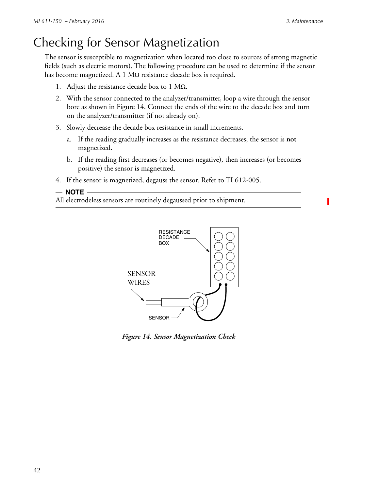# <span id="page-41-0"></span>Checking for Sensor Magnetization

<span id="page-41-2"></span>The sensor is susceptible to magnetization when located too close to sources of strong magnetic fields (such as electric motors). The following procedure can be used to determine if the sensor has become magnetized. A 1 M $\Omega$  resistance decade box is required.

- 1. Adjust the resistance decade box to 1  $\text{M}\Omega$ .
- 2. With the sensor connected to the analyzer/transmitter, loop a wire through the sensor bore as shown in [Figure 14.](#page-41-1) Connect the ends of the wire to the decade box and turn on the analyzer/transmitter (if not already on).
- 3. Slowly decrease the decade box resistance in small increments.
	- a. If the reading gradually increases as the resistance decreases, the sensor is **not** magnetized.
	- b. If the reading first decreases (or becomes negative), then increases (or becomes positive) the sensor **is** magnetized.
- 4. If the sensor is magnetized, degauss the sensor. Refer to TI 612-005.

```
- NOTE
```
All electrodeless sensors are routinely degaussed prior to shipment.



<span id="page-41-1"></span>*Figure 14. Sensor Magnetization Check*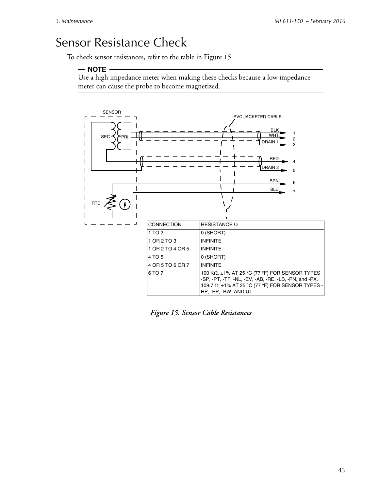## <span id="page-42-2"></span><span id="page-42-0"></span>Sensor Resistance Check

To check sensor resistances, refer to the table in [Figure 15](#page-42-1)

**NOTE**

Use a high impedance meter when making these checks because a low impedance meter can cause the probe to become magnetized.



<span id="page-42-1"></span>*Figure 15. Sensor Cable Resistances*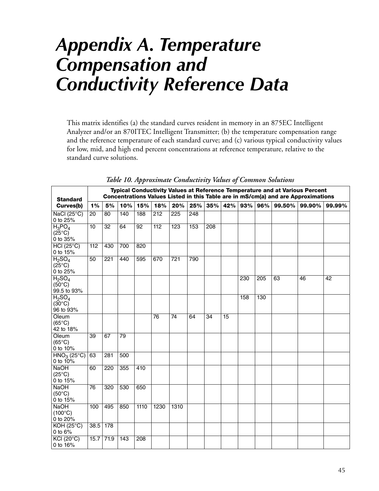# <span id="page-44-3"></span><span id="page-44-2"></span><span id="page-44-0"></span>*Appendix A. Temperature Compensation and Conductivity Reference Data*

This matrix identifies (a) the standard curves resident in memory in an 875EC Intelligent Analyzer and/or an 870ITEC Intelligent Transmitter; (b) the temperature compensation range and the reference temperature of each standard curve; and (c) various typical conductivity values for low, mid, and high end percent concentrations at reference temperature, relative to the standard curve solutions.

<span id="page-44-1"></span>

| <b>Standard</b>                                                | <b>Typical Conductivity Values at Reference Temperature and at Various Percent</b><br>Concentrations Values Listed in this Table are in mS/cm(a) and are Approximations |                 |     |      |                  |      |     |     |                 |     |     |        |        |        |
|----------------------------------------------------------------|-------------------------------------------------------------------------------------------------------------------------------------------------------------------------|-----------------|-----|------|------------------|------|-----|-----|-----------------|-----|-----|--------|--------|--------|
| Curves(b)                                                      | 1%                                                                                                                                                                      | 5%              | 10% | 15%  | 18%              | 20%  | 25% | 35% | 42%             | 93% | 96% | 99.50% | 99.90% | 99.99% |
| NaCl (25°C)<br>0 to 25%                                        | 20                                                                                                                                                                      | 80              | 140 | 188  | 212              | 225  | 248 |     |                 |     |     |        |        |        |
| $H_3PO_4$<br>$(25^{\circ}C)$<br>0 to 35%                       | 10                                                                                                                                                                      | $\overline{32}$ | 64  | 92   | $\overline{112}$ | 123  | 153 | 208 |                 |     |     |        |        |        |
| HCI (25°C)<br>0 to 15%                                         | $\overline{112}$                                                                                                                                                        | 430             | 700 | 820  |                  |      |     |     |                 |     |     |        |        |        |
| $H_2SO_4$<br>$(25^{\circ}C)$<br>0 to 25%                       | 50                                                                                                                                                                      | 221             | 440 | 595  | 670              | 721  | 790 |     |                 |     |     |        |        |        |
| $H_2SO_4$<br>$(50^{\circ}C)$<br>99.5 to 93%                    |                                                                                                                                                                         |                 |     |      |                  |      |     |     |                 | 230 | 205 | 63     | 46     | 42     |
| H <sub>2</sub> SO <sub>4</sub><br>$(30^{\circ}C)$<br>96 to 93% |                                                                                                                                                                         |                 |     |      |                  |      |     |     |                 | 158 | 130 |        |        |        |
| Oleum<br>$(65^{\circ}C)$<br>42 to 18%                          |                                                                                                                                                                         |                 |     |      | 76               | 74   | 64  | 34  | $\overline{15}$ |     |     |        |        |        |
| Oleum<br>$(65^{\circ}C)$<br>0 to 10%                           | 39                                                                                                                                                                      | 67              | 79  |      |                  |      |     |     |                 |     |     |        |        |        |
| $HNO3$ (25°C)<br>0 to 10%                                      | 63                                                                                                                                                                      | 281             | 500 |      |                  |      |     |     |                 |     |     |        |        |        |
| <b>NaOH</b><br>$(25^{\circ}C)$<br>0 to 15%                     | 60                                                                                                                                                                      | 220             | 355 | 410  |                  |      |     |     |                 |     |     |        |        |        |
| <b>NaOH</b><br>$(50^{\circ}C)$<br>0 to 15%                     | 76                                                                                                                                                                      | 320             | 530 | 650  |                  |      |     |     |                 |     |     |        |        |        |
| <b>NaOH</b><br>$(100^{\circ}C)$<br>0 to 20%                    | 100                                                                                                                                                                     | 495             | 850 | 1110 | 1230             | 1310 |     |     |                 |     |     |        |        |        |
| KOH(25°C)<br>0 to 6%                                           | 38.5 178                                                                                                                                                                |                 |     |      |                  |      |     |     |                 |     |     |        |        |        |
| <b>KCI</b> (20°C)<br>0 to 16%                                  | 15.7                                                                                                                                                                    | 71.9            | 143 | 208  |                  |      |     |     |                 |     |     |        |        |        |

*Table 10. Approximate Conductivity Values of Common Solutions*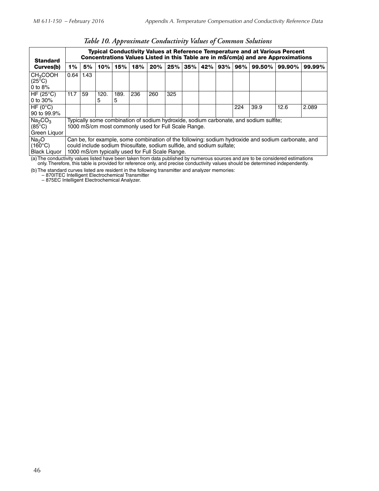| <b>Standard</b>                                    | <b>Typical Conductivity Values at Reference Temperature and at Various Percent</b><br>Concentrations Values Listed in this Table are in mS/cm(a) and are Approximations |                                                                                                    |           |           |     |     |     |  |  |     |      |                                                           |           |
|----------------------------------------------------|-------------------------------------------------------------------------------------------------------------------------------------------------------------------------|----------------------------------------------------------------------------------------------------|-----------|-----------|-----|-----|-----|--|--|-----|------|-----------------------------------------------------------|-----------|
| Curves(b)                                          | 1%                                                                                                                                                                      | 5%                                                                                                 | 10%       | 15%       |     |     |     |  |  |     |      | 18%   20%   25%   35%   42%   93%   96%   99.50%   99.90% | $99.99\%$ |
| CH <sub>3</sub> COOH<br>(25°C)<br>0 to $8\%$       | 0.64                                                                                                                                                                    | 1.43                                                                                               |           |           |     |     |     |  |  |     |      |                                                           |           |
| HF (25 $^{\circ}$ C)<br>0 to 30%                   | 11.7                                                                                                                                                                    | 59                                                                                                 | 120.<br>5 | 189.<br>5 | 236 | 260 | 325 |  |  |     |      |                                                           |           |
| $HF (0^{\circ}C)$<br>90 to 99.9%                   |                                                                                                                                                                         |                                                                                                    |           |           |     |     |     |  |  | 224 | 39.9 | 12.6                                                      | 2.089     |
| Na <sub>2</sub> CO <sub>3</sub><br>$(85^{\circ}C)$ | Typically some combination of sodium hydroxide, sodium carbonate, and sodium sulfite;<br>1000 mS/cm most commonly used for Full Scale Range.                            |                                                                                                    |           |           |     |     |     |  |  |     |      |                                                           |           |
| Green Liquor                                       |                                                                                                                                                                         |                                                                                                    |           |           |     |     |     |  |  |     |      |                                                           |           |
| Na <sub>2</sub> O                                  |                                                                                                                                                                         | Can be, for example, some combination of the following: sodium hydroxide and sodium carbonate, and |           |           |     |     |     |  |  |     |      |                                                           |           |
| (160°C)                                            |                                                                                                                                                                         | could include sodium thiosulfate, sodium sulfide, and sodium sulfate;                              |           |           |     |     |     |  |  |     |      |                                                           |           |
| <b>Black Liguor</b>                                |                                                                                                                                                                         | 1000 mS/cm typically used for Full Scale Range.                                                    |           |           |     |     |     |  |  |     |      |                                                           |           |

#### *Table 10. Approximate Conductivity Values of Common Solutions*

a) The conductivity values listed have been taken from data published by numerous sources and are to be considered estimations<br>only. Therefore, this table is provided for reference only, and precise conductivity values sho

(b)The standard curves listed are resident in the following transmitter and analyzer memories:

– 870ITEC Intelligent Electrochemical Transmitter – 875EC Intelligent Electrochemical Analyzer.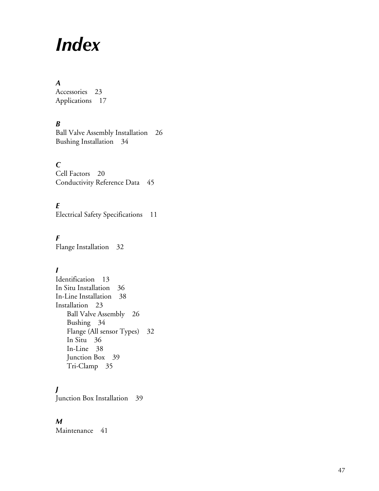# <span id="page-46-0"></span>*Index*

### *A*

[Accessories 23](#page-22-3) [Applications 17](#page-16-2)

### *B*

[Ball Valve Assembly Installation 26](#page-25-2) [Bushing Installation 34](#page-33-3)

*C* [Cell Factors 20](#page-19-2) [Conductivity Reference Data 45](#page-44-2)

### *E*

[Electrical Safety Specifications 11](#page-10-1)

*F* [Flange Installation 32](#page-31-3)

### *I*

[Identification 13](#page-12-2) [In Situ Installation 36](#page-35-1) [In-Line Installation 38](#page-37-4) [Installation 23](#page-22-4) [Ball Valve Assembly 26](#page-25-2) [Bushing 34](#page-33-3) [Flange \(All sensor Types\) 32](#page-31-3) [In Situ 36](#page-35-1) [In-Line 38](#page-37-4) [Junction Box 39](#page-38-2) [Tri-Clamp 35](#page-34-4)

### *J*

[Junction Box Installation 39](#page-38-2)

#### *M*

[Maintenance 41](#page-40-3)